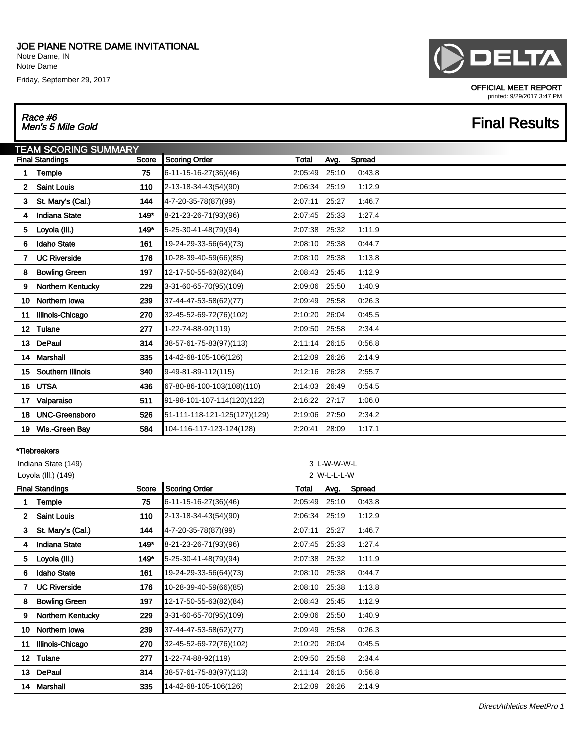Notre Dame, IN Notre Dame

Friday, September 29, 2017

## Race #6<br>Men's 5 Mile Gold

# **DELTA**

OFFICIAL MEET REPORT printed: 9/29/2017 3:47 PM

## **Final Results**

| <b><i>TEAM SCORING SUMMARY</i></b> |                          |       |                              |              |       |        |  |  |  |  |
|------------------------------------|--------------------------|-------|------------------------------|--------------|-------|--------|--|--|--|--|
|                                    | <b>Final Standings</b>   | Score | Scoring Order                | <b>Total</b> | Avg.  | Spread |  |  |  |  |
|                                    | <b>Temple</b>            | 75    | 6-11-15-16-27(36)(46)        | 2:05:49      | 25:10 | 0.43.8 |  |  |  |  |
| $\mathbf{2}$                       | <b>Saint Louis</b>       | 110   | 2-13-18-34-43(54)(90)        | 2:06:34      | 25:19 | 1:12.9 |  |  |  |  |
| 3                                  | St. Mary's (Cal.)        | 144   | 4-7-20-35-78(87)(99)         | 2:07:11      | 25:27 | 1:46.7 |  |  |  |  |
| 4                                  | <b>Indiana State</b>     | 149*  | 8-21-23-26-71(93)(96)        | 2:07:45      | 25:33 | 1:27.4 |  |  |  |  |
| 5                                  | Loyola (III.)            | 149"  | 5-25-30-41-48(79)(94)        | 2:07:38      | 25:32 | 1:11.9 |  |  |  |  |
| 6                                  | <b>Idaho State</b>       | 161   | 19-24-29-33-56(64)(73)       | 2:08:10      | 25:38 | 0:44.7 |  |  |  |  |
|                                    | <b>UC Riverside</b>      | 176   | 10-28-39-40-59(66)(85)       | 2:08:10      | 25:38 | 1:13.8 |  |  |  |  |
| 8                                  | <b>Bowling Green</b>     | 197   | 12-17-50-55-63(82)(84)       | 2:08:43      | 25:45 | 1:12.9 |  |  |  |  |
| 9                                  | <b>Northern Kentucky</b> | 229   | 3-31-60-65-70(95)(109)       | 2:09:06      | 25:50 | 1:40.9 |  |  |  |  |
| 10                                 | Northern Iowa            | 239   | 37-44-47-53-58(62)(77)       | 2:09:49      | 25:58 | 0:26.3 |  |  |  |  |
| 11                                 | Illinois-Chicago         | 270   | 32-45-52-69-72(76)(102)      | 2:10:20      | 26:04 | 0.45.5 |  |  |  |  |
| 12 <sup>2</sup>                    | Tulane                   | 277   | 1-22-74-88-92(119)           | 2:09:50      | 25:58 | 2:34.4 |  |  |  |  |
|                                    | 13 DePaul                | 314   | 38-57-61-75-83(97)(113)      | 2:11:14      | 26:15 | 0:56.8 |  |  |  |  |
| 14                                 | <b>Marshall</b>          | 335   | 14-42-68-105-106(126)        | 2:12:09      | 26:26 | 2:14.9 |  |  |  |  |
| 15                                 | Southern Illinois        | 340   | 9-49-81-89-112(115)          | 2:12:16      | 26:28 | 2:55.7 |  |  |  |  |
| 16                                 | <b>UTSA</b>              | 436   | 67-80-86-100-103(108)(110)   | 2:14:03      | 26:49 | 0.54.5 |  |  |  |  |
| 17                                 | Valparaiso               | 511   | 91-98-101-107-114(120)(122)  | 2:16:22      | 27:17 | 1:06.0 |  |  |  |  |
| 18                                 | <b>UNC-Greensboro</b>    | 526   | 51-111-118-121-125(127)(129) | 2:19:06      | 27:50 | 2:34.2 |  |  |  |  |
| 19                                 | Wis.-Green Bay           | 584   | 104-116-117-123-124(128)     | 2:20:41      | 28:09 | 1:17.1 |  |  |  |  |
|                                    |                          |       |                              |              |       |        |  |  |  |  |

### \*Tiebreakers

|    | Indiana State (149)<br>Loyola (III.) (149) |       |                         |         | 3 L-W-W-W-L<br>2 W-L-L-L-W |        |  |  |  |  |
|----|--------------------------------------------|-------|-------------------------|---------|----------------------------|--------|--|--|--|--|
|    | <b>Final Standings</b>                     | Score | <b>Scoring Order</b>    | Total   | Avg.                       | Spread |  |  |  |  |
|    | Temple                                     | 75    | $6-11-15-16-27(36)(46)$ | 2:05:49 | 25:10                      | 0:43.8 |  |  |  |  |
| 2. | <b>Saint Louis</b>                         | 110   | 2-13-18-34-43(54)(90)   | 2:06:34 | 25:19                      | 1:12.9 |  |  |  |  |
| 3  | St. Mary's (Cal.)                          | 144   | 4-7-20-35-78(87)(99)    | 2:07:11 | 25:27                      | 1:46.7 |  |  |  |  |
| 4  | <b>Indiana State</b>                       | 149*  | 8-21-23-26-71(93)(96)   | 2:07:45 | 25:33                      | 1.27.4 |  |  |  |  |
| 5. | Loyola (III.)                              | 149*  | $5-25-30-41-48(79)(94)$ | 2:07:38 | 25:32                      | 1:11.9 |  |  |  |  |
| 6  | <b>Idaho State</b>                         | 161   | 19-24-29-33-56(64)(73)  | 2:08:10 | 25:38                      | 0:44.7 |  |  |  |  |
|    | <b>UC Riverside</b>                        | 176   | 10-28-39-40-59(66)(85)  | 2:08:10 | 25:38                      | 1:13.8 |  |  |  |  |
| 8  | <b>Bowling Green</b>                       | 197   | 12-17-50-55-63(82)(84)  | 2:08:43 | 25:45                      | 1:12.9 |  |  |  |  |
| 9  | Northern Kentucky                          | 229   | 3-31-60-65-70(95)(109)  | 2:09:06 | 25:50                      | 1:40.9 |  |  |  |  |
| 10 | Northern Iowa                              | 239   | 37-44-47-53-58(62)(77)  | 2:09:49 | 25:58                      | 0:26.3 |  |  |  |  |
| 11 | Illinois-Chicago                           | 270   | 32-45-52-69-72(76)(102) | 2:10:20 | 26:04                      | 0:45.5 |  |  |  |  |
| 12 | <b>Tulane</b>                              | 277   | 1-22-74-88-92(119)      | 2:09:50 | 25:58                      | 2:34.4 |  |  |  |  |
|    | 13 DePaul                                  | 314   | 38-57-61-75-83(97)(113) | 2:11:14 | 26:15                      | 0:56.8 |  |  |  |  |
| 14 | Marshall                                   | 335   | 14-42-68-105-106(126)   | 2:12:09 | 26:26                      | 2:14.9 |  |  |  |  |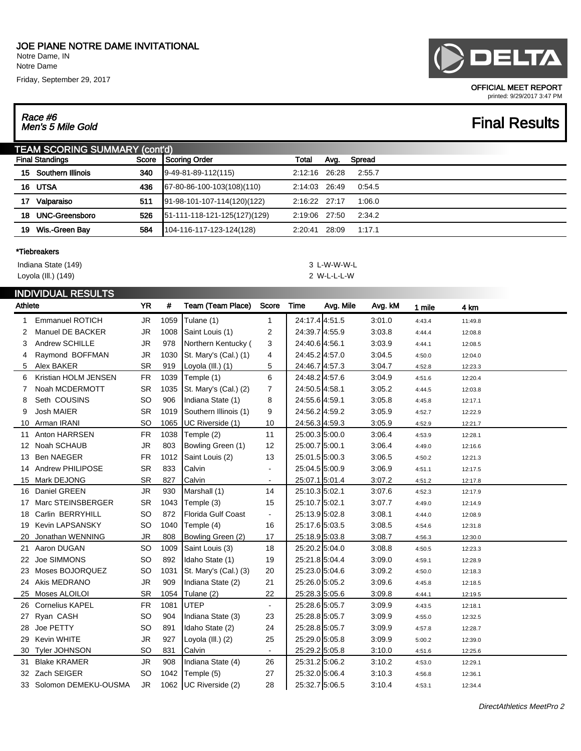Notre Dame, IN Notre Dame

Friday, September 29, 2017

## Race #6<br>Men's 5 Mile Gold

### OFFICIAL MEET REPORT printed: 9/29/2017 3:47 PM

## **Final Results**

|    | <b>TEAM SCORING SUMMARY (cont'd)</b> |     |                              |               |       |        |  |  |  |  |  |
|----|--------------------------------------|-----|------------------------------|---------------|-------|--------|--|--|--|--|--|
|    | Score<br><b>Final Standings</b>      |     | Scoring Order                | Total         | Avg.  | Spread |  |  |  |  |  |
|    | 15 Southern Illinois                 | 340 | $[9-49-81-89-112(115)]$      | 2:12:16 26:28 |       | 2:55.7 |  |  |  |  |  |
|    | 16 UTSA                              | 436 | 67-80-86-100-103(108)(110)   | 2:14:03 26:49 |       | 0:54.5 |  |  |  |  |  |
| 17 | Valparaiso                           | 511 | 91-98-101-107-114(120)(122)  | 2:16:22 27:17 |       | 1:06.0 |  |  |  |  |  |
| 18 | <b>UNC-Greensboro</b>                | 526 | 51-111-118-121-125(127)(129) | 2:19:06 27:50 |       | 2:34.2 |  |  |  |  |  |
| 19 | Wis.-Green Bav                       | 584 | 104-116-117-123-124(128)     | 2:20:41       | 28:09 | 1:17.1 |  |  |  |  |  |
|    |                                      |     |                              |               |       |        |  |  |  |  |  |

### \*Tiebreakers

Indiana State (149) 3 L-W-W-W-L

### INDIVIDUAL RESULTS

|     | <b>INDIVIDUAL INLOULIO</b><br>Athlete |           | #    | Team (Team Place)       | Score          | Time           | Avg. Mile | Avg. kM | 1 mile | 4 km    |
|-----|---------------------------------------|-----------|------|-------------------------|----------------|----------------|-----------|---------|--------|---------|
| 1   | <b>Emmanuel ROTICH</b>                | <b>JR</b> | 1059 | Tulane (1)              | 1              | 24:17.4 4:51.5 |           | 3:01.0  | 4:43.4 | 11:49.8 |
| 2   | Manuel DE BACKER                      | <b>JR</b> | 1008 | Saint Louis (1)         | 2              | 24:39.7 4:55.9 |           | 3:03.8  | 4:44.4 | 12:08.8 |
| 3   | Andrew SCHILLE                        | <b>JR</b> | 978  | Northern Kentucky (     | 3              | 24:40.6 4:56.1 |           | 3:03.9  | 4:44.1 | 12:08.5 |
| 4   | Raymond BOFFMAN                       | <b>JR</b> | 1030 | St. Mary's (Cal.) (1)   | 4              | 24:45.2 4:57.0 |           | 3:04.5  | 4:50.0 | 12:04.0 |
| 5   | Alex BAKER                            | <b>SR</b> | 919  | Loyola (III.) (1)       | 5              | 24:46.7 4:57.3 |           | 3:04.7  | 4:52.8 | 12:23.3 |
| 6   | Kristian HOLM JENSEN                  | <b>FR</b> | 1039 | Temple (1)              | 6              | 24:48.2 4:57.6 |           | 3:04.9  | 4:51.6 | 12:20.4 |
| 7   | Noah MCDERMOTT                        | <b>SR</b> | 1035 | St. Mary's (Cal.) (2)   | 7              | 24:50.5 4:58.1 |           | 3:05.2  | 4:44.5 | 12:03.8 |
| 8   | Seth COUSINS                          | SO        | 906  | Indiana State (1)       | 8              | 24:55.6 4:59.1 |           | 3:05.8  | 4:45.8 | 12:17.1 |
| 9   | <b>Josh MAIER</b>                     | <b>SR</b> | 1019 | Southern Illinois (1)   | 9              | 24:56.2 4:59.2 |           | 3:05.9  | 4:52.7 | 12:22.9 |
| 10  | Arman IRANI                           | SO        | 1065 | UC Riverside (1)        | 10             | 24:56.3 4:59.3 |           | 3:05.9  | 4:52.9 | 12:21.7 |
| 11  | Anton HARRSEN                         | <b>FR</b> | 1038 | Temple (2)              | 11             | 25:00.3 5:00.0 |           | 3:06.4  | 4:53.9 | 12:28.1 |
| 12  | Noah SCHAUB                           | <b>JR</b> | 803  | Bowling Green (1)       | 12             | 25:00.7 5:00.1 |           | 3:06.4  | 4:49.0 | 12:16.6 |
| 13  | <b>Ben NAEGER</b>                     | <b>FR</b> | 1012 | Saint Louis (2)         | 13             | 25:01.5 5:00.3 |           | 3:06.5  | 4:50.2 | 12:21.3 |
| 14  | Andrew PHILIPOSE                      | <b>SR</b> | 833  | Calvin                  | $\blacksquare$ | 25:04.5 5:00.9 |           | 3:06.9  | 4:51.1 | 12:17.5 |
| 15  | Mark DEJONG                           | <b>SR</b> | 827  | Calvin                  | $\blacksquare$ | 25:07.1 5:01.4 |           | 3:07.2  | 4:51.2 | 12:17.8 |
| 16  | Daniel GREEN                          | <b>JR</b> | 930  | Marshall (1)            | 14             | 25:10.3 5:02.1 |           | 3:07.6  | 4:52.3 | 12:17.9 |
| 17  | Marc STEINSBERGER                     | <b>SR</b> | 1043 | Temple (3)              | 15             | 25:10.7 5:02.1 |           | 3:07.7  | 4:49.0 | 12:14.9 |
| 18  | Carlin BERRYHILL                      | SO        | 872  | Florida Gulf Coast      |                | 25:13.9 5:02.8 |           | 3:08.1  | 4:44.0 | 12:08.9 |
| 19  | <b>Kevin LAPSANSKY</b>                | SO        | 1040 | Temple (4)              | 16             | 25:17.6 5:03.5 |           | 3:08.5  | 4:54.6 | 12:31.8 |
| 20  | Jonathan WENNING                      | <b>JR</b> | 808  | Bowling Green (2)       | 17             | 25:18.9 5:03.8 |           | 3:08.7  | 4:56.3 | 12:30.0 |
| 21. | Aaron DUGAN                           | SO        | 1009 | Saint Louis (3)         | 18             | 25:20.2 5:04.0 |           | 3:08.8  | 4:50.5 | 12:23.3 |
| 22  | Joe SIMMONS                           | SO        | 892  | Idaho State (1)         | 19             | 25:21.8 5:04.4 |           | 3:09.0  | 4:59.1 | 12:28.9 |
| 23  | Moses BOJORQUEZ                       | SO        | 1031 | St. Mary's (Cal.) (3)   | 20             | 25:23.0 5:04.6 |           | 3:09.2  | 4:50.0 | 12:18.3 |
| 24  | Akis MEDRANO                          | <b>JR</b> | 909  | Indiana State (2)       | 21             | 25:26.0 5:05.2 |           | 3:09.6  | 4:45.8 | 12:18.5 |
| 25  | Moses ALOILOI                         | <b>SR</b> | 1054 | Tulane (2)              | 22             | 25:28.3 5:05.6 |           | 3:09.8  | 4:44.1 | 12:19.5 |
| 26  | <b>Cornelius KAPEL</b>                | <b>FR</b> | 1081 | <b>UTEP</b>             | $\blacksquare$ | 25:28.6 5:05.7 |           | 3:09.9  | 4:43.5 | 12:18.1 |
| 27  | Ryan CASH                             | SO        | 904  | Indiana State (3)       | 23             | 25:28.8 5:05.7 |           | 3:09.9  | 4:55.0 | 12:32.5 |
| 28  | Joe PETTY                             | SO        | 891  | Idaho State (2)         | 24             | 25:28.8 5:05.7 |           | 3:09.9  | 4:57.8 | 12:28.7 |
| 29  | Kevin WHITE                           | <b>JR</b> | 927  | Loyola (III.) (2)       | 25             | 25:29.0 5:05.8 |           | 3:09.9  | 5:00.2 | 12:39.0 |
| 30  | Tyler JOHNSON                         | SO        | 831  | Calvin                  | $\blacksquare$ | 25:29.2 5:05.8 |           | 3:10.0  | 4:51.6 | 12:25.6 |
| 31. | <b>Blake KRAMER</b>                   | <b>JR</b> | 908  | Indiana State (4)       | 26             | 25:31.2 5:06.2 |           | 3:10.2  | 4:53.0 | 12:29.1 |
| 32  | Zach SEIGER                           | SO        | 1042 | Temple (5)              | 27             | 25:32.0 5:06.4 |           | 3:10.3  | 4:56.8 | 12:36.1 |
| 33  | Solomon DEMEKU-OUSMA                  | <b>JR</b> |      | 1062   UC Riverside (2) | 28             | 25:32.7 5:06.5 |           | 3:10.4  | 4:53.1 | 12:34.4 |
|     |                                       |           |      |                         |                |                |           |         |        |         |



Loyola (Ill.) (149) 2 W-L-L-L-W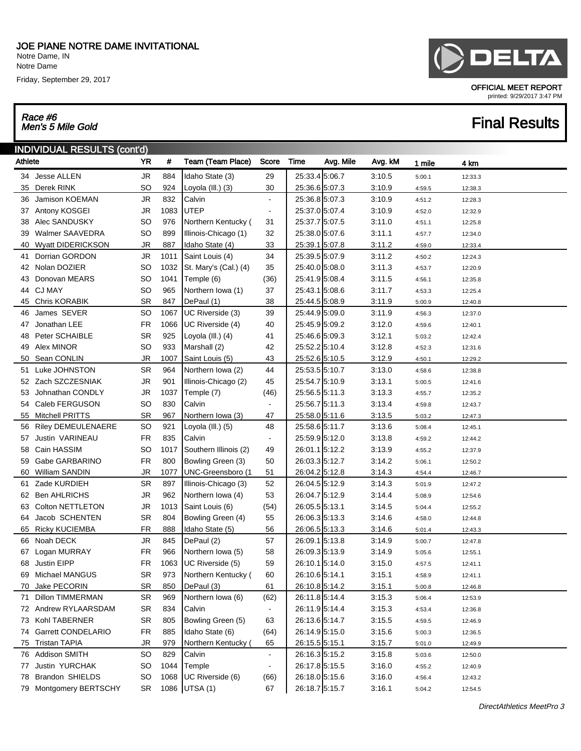Notre Dame, IN Notre Dame

Friday, September 29, 2017

## Race #6<br>Men's 5 Mile Gold

## INDIVIDUAL RESULTS (cont'd)

| Athlete |                          | <b>YR</b> | #    | Team (Team Place)     | Score                    | Time           | Avg. Mile | Avg. kM | 1 mile | 4 km    |
|---------|--------------------------|-----------|------|-----------------------|--------------------------|----------------|-----------|---------|--------|---------|
|         | 34 Jesse ALLEN           | <b>JR</b> | 884  | Idaho State (3)       | 29                       | 25:33.4 5:06.7 |           | 3:10.5  | 5:00.1 | 12:33.3 |
|         | 35 Derek RINK            | SO        | 924  | Loyola (III.) (3)     | 30                       | 25:36.6 5:07.3 |           | 3:10.9  | 4:59.5 | 12:38.3 |
|         | 36 Jamison KOEMAN        | <b>JR</b> | 832  | Calvin                | $\blacksquare$           | 25:36.8 5:07.3 |           | 3:10.9  | 4:51.2 | 12:28.3 |
|         | 37 Antony KOSGEI         | <b>JR</b> | 1083 | <b>UTEP</b>           | $\overline{\phantom{a}}$ | 25:37.0 5:07.4 |           | 3:10.9  | 4:52.0 | 12:32.9 |
| 38      | Alec SANDUSKY            | <b>SO</b> | 976  | Northern Kentucky (   | 31                       | 25:37.7 5:07.5 |           | 3:11.0  | 4:51.1 | 12:25.8 |
| 39      | Walmer SAAVEDRA          | SO        | 899  | Illinois-Chicago (1)  | 32                       | 25:38.0 5:07.6 |           | 3:11.1  | 4:57.7 | 12:34.0 |
| 40      | <b>Wyatt DIDERICKSON</b> | <b>JR</b> | 887  | Idaho State (4)       | 33                       | 25:39.1 5:07.8 |           | 3:11.2  | 4:59.0 | 12:33.4 |
| 41      | Dorrian GORDON           | <b>JR</b> | 1011 | Saint Louis (4)       | 34                       | 25:39.5 5:07.9 |           | 3:11.2  | 4:50.2 | 12:24.3 |
|         | 42 Nolan DOZIER          | <b>SO</b> | 1032 | St. Mary's (Cal.) (4) | 35                       | 25:40.0 5:08.0 |           | 3:11.3  | 4:53.7 | 12:20.9 |
| 43      | Donovan MEARS            | <b>SO</b> | 1041 | Temple (6)            | (36)                     | 25:41.9 5:08.4 |           | 3:11.5  | 4:56.1 | 12:35.8 |
|         | 44 CJ MAY                | <b>SO</b> | 965  | Northern Iowa (1)     | 37                       | 25:43.1 5:08.6 |           | 3:11.7  | 4:53.3 | 12:25.4 |
| 45      | <b>Chris KORABIK</b>     | <b>SR</b> | 847  | DePaul (1)            | 38                       | 25:44.5 5:08.9 |           | 3:11.9  | 5:00.9 | 12:40.8 |
| 46      | James SEVER              | <b>SO</b> | 1067 | UC Riverside (3)      | 39                       | 25:44.9 5:09.0 |           | 3:11.9  | 4:56.3 | 12:37.0 |
| 47      | Jonathan LEE             | <b>FR</b> | 1066 | UC Riverside (4)      | 40                       | 25:45.9 5:09.2 |           | 3:12.0  | 4:59.6 | 12:40.1 |
| 48      | Peter SCHAIBLE           | SR        | 925  | Loyola (III.) (4)     | 41                       | 25:46.6 5:09.3 |           | 3:12.1  | 5:03.2 | 12:42.4 |
| 49      | Alex MINOR               | SO        | 933  | Marshall (2)          | 42                       | 25:52.2 5:10.4 |           | 3:12.8  | 4:52.3 | 12:31.6 |
| 50      | Sean CONLIN              | JR        | 1007 | Saint Louis (5)       | 43                       | 25:52.6 5:10.5 |           | 3:12.9  | 4:50.1 | 12:29.2 |
| 51      | Luke JOHNSTON            | <b>SR</b> | 964  | Northern Iowa (2)     | 44                       | 25:53.5 5:10.7 |           | 3:13.0  | 4:58.6 | 12:38.8 |
|         | 52 Zach SZCZESNIAK       | <b>JR</b> | 901  | Illinois-Chicago (2)  | 45                       | 25:54.7 5:10.9 |           | 3:13.1  | 5:00.5 | 12:41.6 |
| 53      | Johnathan CONDLY         | <b>JR</b> | 1037 | Temple (7)            | (46)                     | 25:56.5 5:11.3 |           | 3:13.3  | 4:55.7 | 12:35.2 |
|         | 54 Caleb FERGUSON        | <b>SO</b> | 830  | Calvin                | $\blacksquare$           | 25:56.7 5:11.3 |           | 3:13.4  | 4:59.8 | 12:43.7 |
|         | 55 Mitchell PRITTS       | <b>SR</b> | 967  | Northern lowa (3)     | 47                       | 25:58.0 5:11.6 |           | 3:13.5  | 5:03.2 | 12:47.3 |
| 56      | Riley DEMEULENAERE       | <b>SO</b> | 921  | Loyola (III.) (5)     | 48                       | 25:58.6 5:11.7 |           | 3:13.6  | 5:08.4 | 12:45.1 |
| 57      | Justin VARINEAU          | <b>FR</b> | 835  | Calvin                | $\blacksquare$           | 25:59.9 5:12.0 |           | 3:13.8  | 4:59.2 | 12:44.2 |
| 58      | Cain HASSIM              | <b>SO</b> | 1017 | Southern Illinois (2) | 49                       | 26:01.1 5:12.2 |           | 3:13.9  | 4:55.2 | 12:37.9 |
| 59      | Gabe GARBARINO           | FR.       | 800  | Bowling Green (3)     | 50                       | 26:03.3 5:12.7 |           | 3:14.2  | 5:06.1 | 12:50.2 |
| 60      | William SANDIN           | <b>JR</b> | 1077 | UNC-Greensboro (1     | 51                       | 26:04.2 5:12.8 |           | 3:14.3  | 4:54.4 | 12:46.7 |
| 61      | Zade KURDIEH             | <b>SR</b> | 897  | Illinois-Chicago (3)  | 52                       | 26:04.5 5:12.9 |           | 3.14.3  | 5:01.9 | 12:47.2 |
|         | 62 Ben AHLRICHS          | <b>JR</b> | 962  | Northern Iowa (4)     | 53                       | 26:04.7 5:12.9 |           | 3:14.4  | 5:08.9 | 12:54.6 |
| 63      | Colton NETTLETON         | <b>JR</b> | 1013 | Saint Louis (6)       | (54)                     | 26:05.5 5:13.1 |           | 3:14.5  | 5:04.4 | 12:55.2 |
| 64      | Jacob SCHENTEN           | <b>SR</b> | 804  | Bowling Green (4)     | 55                       | 26:06.3 5:13.3 |           | 3:14.6  | 4:58.0 | 12:44.8 |
|         | 65 Ricky KUCIEMBA        | FR.       | 888  | Idaho State (5)       | 56                       | 26:06.5 5:13.3 |           | 3:14.6  | 5:01.4 | 12:43.3 |
| 66      | Noah DECK                | <b>JR</b> | 845  | DePaul (2)            | 57                       | 26:09.1 5:13.8 |           | 3:14.9  | 5:00.7 | 12:47.8 |
| 67      | Logan MURRAY             | <b>FR</b> | 966  | Northern Iowa (5)     | 58                       | 26:09.3 5:13.9 |           | 3:14.9  | 5:05.6 | 12:55.1 |
| 68      | Justin EIPP              | <b>FR</b> | 1063 | UC Riverside (5)      | 59                       | 26:10.1 5:14.0 |           | 3:15.0  | 4:57.5 | 12:41.1 |
|         | 69 Michael MANGUS        | <b>SR</b> | 973  | Northern Kentucky (   | 60                       | 26:10.6 5:14.1 |           | 3:15.1  | 4:58.9 | 12:41.1 |
| 70      | Jake PECORIN             | SR        | 850  | DePaul (3)            | 61                       | 26:10.8 5:14.2 |           | 3:15.1  | 5:00.8 | 12:46.8 |
| 71      | <b>Dillon TIMMERMAN</b>  | <b>SR</b> | 969  | Northern Iowa (6)     | (62)                     | 26:11.8 5:14.4 |           | 3:15.3  | 5:06.4 | 12:53.9 |
|         | 72 Andrew RYLAARSDAM     | <b>SR</b> | 834  | Calvin                | $\blacksquare$           | 26:11.9 5:14.4 |           | 3:15.3  | 4:53.4 | 12:36.8 |
|         | 73 Kohl TABERNER         | <b>SR</b> | 805  | Bowling Green (5)     | 63                       | 26:13.6 5:14.7 |           | 3:15.5  | 4:59.5 | 12:46.9 |
|         | 74 Garrett CONDELARIO    | <b>FR</b> | 885  | Idaho State (6)       | (64)                     | 26:14.9 5:15.0 |           | 3:15.6  | 5:00.3 | 12:36.5 |
| 75      | <b>Tristan TAPIA</b>     | <b>JR</b> | 979  | Northern Kentucky (   | 65                       | 26:15.5 5:15.1 |           | 3:15.7  | 5:01.0 | 12:49.9 |
|         | 76 Addison SMITH         | <b>SO</b> | 829  | Calvin                | $\blacksquare$           | 26:16.3 5:15.2 |           | 3:15.8  | 5:03.6 | 12:50.0 |
| 77      | Justin YURCHAK           | <b>SO</b> | 1044 | Temple                | $\overline{\phantom{a}}$ | 26:17.8 5:15.5 |           | 3:16.0  | 4:55.2 | 12:40.9 |
| 78      | <b>Brandon SHIELDS</b>   | <b>SO</b> | 1068 | UC Riverside (6)      | (66)                     | 26:18.0 5:15.6 |           | 3:16.0  | 4:56.4 | 12:43.2 |
|         | 79 Montgomery BERTSCHY   | SR        |      | 1086 UTSA (1)         | 67                       | 26:18.7 5:15.7 |           | 3:16.1  | 5:04.2 | 12:54.5 |



OFFICIAL MEET REPORT

**Final Results** 

printed: 9/29/2017 3:47 PM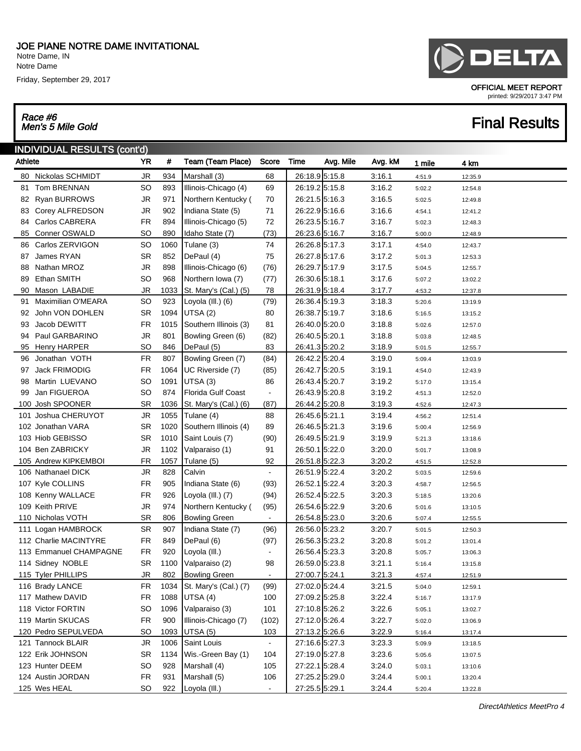Notre Dame, IN Notre Dame

Friday, September 29, 2017

## Race #6<br>Men's 5 Mile Gold

### INDIVIDUAL RESULTS (cont'd)

| Athlete |                        | YR         | #    | Team (Team Place)         | Score                    | Time           | Avg. Mile | Avg. kM | 1 mile | 4 km    |
|---------|------------------------|------------|------|---------------------------|--------------------------|----------------|-----------|---------|--------|---------|
| 80      | Nickolas SCHMIDT       | <b>JR</b>  | 934  | Marshall (3)              | 68                       | 26:18.9 5:15.8 |           | 3:16.1  | 4:51.9 | 12:35.9 |
| 81      | Tom BRENNAN            | <b>SO</b>  | 893  | Illinois-Chicago (4)      | 69                       | 26:19.2 5:15.8 |           | 3:16.2  | 5:02.2 | 12:54.8 |
|         | 82 Ryan BURROWS        | <b>JR</b>  | 971  | Northern Kentucky (       | 70                       | 26:21.5 5:16.3 |           | 3:16.5  | 5:02.5 | 12:49.8 |
|         | 83 Corey ALFREDSON     | <b>JR</b>  | 902  | Indiana State (5)         | 71                       | 26:22.9 5:16.6 |           | 3:16.6  | 4:54.1 | 12:41.2 |
| 84      | Carlos CABRERA         | <b>FR</b>  | 894  | Illinois-Chicago (5)      | 72                       | 26:23.5 5:16.7 |           | 3:16.7  | 5:02.3 | 12:48.3 |
| 85      | Conner OSWALD          | <b>SO</b>  | 890  | Idaho State (7)           | (73)                     | 26:23.6 5:16.7 |           | 3:16.7  | 5:00.0 | 12:48.9 |
|         | 86 Carlos ZERVIGON     | <b>SO</b>  | 1060 | Tulane (3)                | 74                       | 26:26.8 5:17.3 |           | 3.17.1  | 4:54.0 | 12:43.7 |
| 87      | James RYAN             | <b>SR</b>  | 852  | DePaul (4)                | 75                       | 26:27.8 5:17.6 |           | 3:17.2  | 5:01.3 | 12:53.3 |
| 88      | Nathan MROZ            | <b>JR</b>  | 898  | Illinois-Chicago (6)      | (76)                     | 26:29.7 5:17.9 |           | 3:17.5  | 5:04.5 | 12:55.7 |
| 89      | Ethan SMITH            | <b>SO</b>  | 968  | Northern lowa (7)         | (77)                     | 26:30.6 5:18.1 |           | 3:17.6  | 5:07.2 | 13:02.2 |
| 90      | Mason LABADIE          | <b>JR</b>  | 1033 | St. Mary's (Cal.) (5)     | 78                       | 26:31.9 5:18.4 |           | 3:17.7  | 4:53.2 | 12:37.8 |
| 91      | Maximilian O'MEARA     | <b>SO</b>  | 923  | Loyola (III.) (6)         | (79)                     | 26:36.4 5:19.3 |           | 3:18.3  | 5:20.6 | 13:19.9 |
| 92      | John VON DOHLEN        | <b>SR</b>  | 1094 | UTSA <sub>(2)</sub>       | 80                       | 26:38.7 5:19.7 |           | 3:18.6  | 5:16.5 | 13:15.2 |
| 93      | Jacob DEWITT           | <b>FR</b>  | 1015 | Southern Illinois (3)     | 81                       | 26:40.0 5:20.0 |           | 3:18.8  | 5:02.6 | 12:57.0 |
| 94      | Paul GARBARINO         | <b>JR</b>  | 801  | Bowling Green (6)         | (82)                     | 26:40.5 5:20.1 |           | 3:18.8  | 5:03.8 | 12:48.5 |
|         | 95 Henry HARPER        | <b>SO</b>  | 846  | DePaul (5)                | 83                       | 26:41.3 5:20.2 |           | 3:18.9  | 5:01.5 | 12:55.7 |
| 96      | Jonathan VOTH          | ${\sf FR}$ | 807  | Bowling Green (7)         | (84)                     | 26:42.2 5:20.4 |           | 3:19.0  | 5:09.4 | 13:03.9 |
| 97      | Jack FRIMODIG          | <b>FR</b>  | 1064 | UC Riverside (7)          | (85)                     | 26:42.7 5:20.5 |           | 3:19.1  | 4:54.0 | 12:43.9 |
| 98      | Martin LUEVANO         | <b>SO</b>  | 1091 | UTSA (3)                  | 86                       | 26:43.4 5:20.7 |           | 3:19.2  | 5:17.0 | 13:15.4 |
| 99      | Jan FIGUEROA           | <b>SO</b>  | 874  | <b>Florida Gulf Coast</b> | $\blacksquare$           | 26:43.9 5:20.8 |           | 3:19.2  | 4:51.3 | 12:52.0 |
|         | 100 Josh SPOONER       | <b>SR</b>  | 1036 | St. Mary's (Cal.) (6)     | (87)                     | 26:44.2 5:20.8 |           | 3:19.3  | 4:52.6 | 12:47.3 |
|         | 101 Joshua CHERUYOT    | <b>JR</b>  | 1055 | Tulane (4)                | 88                       | 26:45.6 5:21.1 |           | 3:19.4  | 4:56.2 | 12:51.4 |
|         | 102 Jonathan VARA      | <b>SR</b>  | 1020 | Southern Illinois (4)     | 89                       | 26:46.5 5:21.3 |           | 3:19.6  | 5:00.4 | 12:56.9 |
|         | 103 Hiob GEBISSO       | <b>SR</b>  | 1010 | Saint Louis (7)           | (90)                     | 26:49.5 5:21.9 |           | 3:19.9  | 5:21.3 | 13:18.6 |
|         | 104 Ben ZABRICKY       | <b>JR</b>  | 1102 | Valparaiso (1)            | 91                       | 26:50.1 5:22.0 |           | 3:20.0  | 5:01.7 | 13:08.9 |
|         | 105 Andrew KIPKEMBOI   | <b>FR</b>  | 1057 | Tulane (5)                | 92                       | 26:51.8 5:22.3 |           | 3:20.2  | 4:51.5 | 12:52.8 |
|         | 106 Nathanael DICK     | <b>JR</b>  | 828  | Calvin                    | $\blacksquare$           | 26:51.9 5:22.4 |           | 3:20.2  | 5:03.5 | 12:59.6 |
|         | 107 Kyle COLLINS       | <b>FR</b>  | 905  | Indiana State (6)         | (93)                     | 26:52.1 5:22.4 |           | 3:20.3  | 4:58.7 | 12:56.5 |
|         | 108 Kenny WALLACE      | <b>FR</b>  | 926  | Loyola (III.) (7)         | (94)                     | 26:52.4 5:22.5 |           | 3:20.3  | 5:18.5 | 13:20.6 |
|         | 109 Keith PRIVE        | <b>JR</b>  | 974  | Northern Kentucky (       | (95)                     | 26:54.6 5:22.9 |           | 3:20.6  | 5:01.6 | 13:10.5 |
|         | 110 Nicholas VOTH      | <b>SR</b>  | 806  | <b>Bowling Green</b>      | $\blacksquare$           | 26:54.8 5:23.0 |           | 3:20.6  | 5:07.4 | 12:55.5 |
|         | 111 Logan HAMBROCK     | <b>SR</b>  | 907  | Indiana State (7)         | (96)                     | 26:56.0 5:23.2 |           | 3:20.7  | 5:01.5 | 12:50.3 |
|         | 112 Charlie MACINTYRE  | <b>FR</b>  | 849  | DePaul (6)                | (97)                     | 26:56.3 5:23.2 |           | 3:20.8  | 5:01.2 | 13:01.4 |
|         | 113 Emmanuel CHAMPAGNE | <b>FR</b>  | 920  | Loyola (III.)             | $\overline{\phantom{0}}$ | 26:56.4 5:23.3 |           | 3:20.8  | 5:05.7 | 13:06.3 |
|         | 114 Sidney NOBLE       | <b>SR</b>  | 1100 | Valparaiso (2)            | 98                       | 26:59.0 5:23.8 |           | 3:21.1  | 5:16.4 | 13:15.8 |
|         | 115 Tyler PHILLIPS     | <b>JR</b>  | 802  | <b>Bowling Green</b>      | $\blacksquare$           | 27:00.7 5:24.1 |           | 3:21.3  | 4:57.4 | 12:51.9 |
|         | 116 Brady LANCE        | FR         | 1034 | St. Mary's (Cal.) (7)     | (99)                     | 27:02.0 5:24.4 |           | 3:21.5  | 5:04.0 | 12:59.1 |
|         | 117 Mathew DAVID       | <b>FR</b>  | 1088 | UTSA (4)                  | 100                      | 27:09.2 5:25.8 |           | 3:22.4  | 5:16.7 | 13:17.9 |
|         | 118 Victor FORTIN      | <b>SO</b>  | 1096 | Valparaiso (3)            | 101                      | 27:10.8 5:26.2 |           | 3:22.6  | 5:05.1 | 13:02.7 |
|         | 119 Martin SKUCAS      | <b>FR</b>  | 900  | Illinois-Chicago (7)      | (102)                    | 27:12.0 5:26.4 |           | 3:22.7  | 5:02.0 | 13:06.9 |
|         | 120 Pedro SEPULVEDA    | <b>SO</b>  | 1093 | UTSA (5)                  | 103                      | 27:13.2 5:26.6 |           | 3:22.9  | 5:16.4 | 13:17.4 |
|         | 121 Tannock BLAIR      | JR         | 1006 | Saint Louis               | $\bullet$                | 27:16.6 5:27.3 |           | 3:23.3  | 5:09.9 | 13:18.5 |
|         | 122 Erik JOHNSON       | <b>SR</b>  | 1134 | Wis.-Green Bay (1)        | 104                      | 27:19.0 5:27.8 |           | 3:23.6  | 5:05.6 | 13:07.5 |
|         | 123 Hunter DEEM        | SO         | 928  | Marshall (4)              | 105                      | 27:22.1 5:28.4 |           | 3:24.0  | 5:03.1 | 13:10.6 |
|         | 124 Austin JORDAN      | <b>FR</b>  | 931  | Marshall (5)              | 106                      | 27:25.2 5:29.0 |           | 3:24.4  | 5:00.1 | 13:20.4 |
|         | 125 Wes HEAL           | <b>SO</b>  | 922  | Loyola (III.)             | $\blacksquare$           | 27:25.5 5:29.1 |           | 3:24.4  | 5:20.4 | 13:22.8 |



OFFICIAL MEET REPORT

**Final Results** 

printed: 9/29/2017 3:47 PM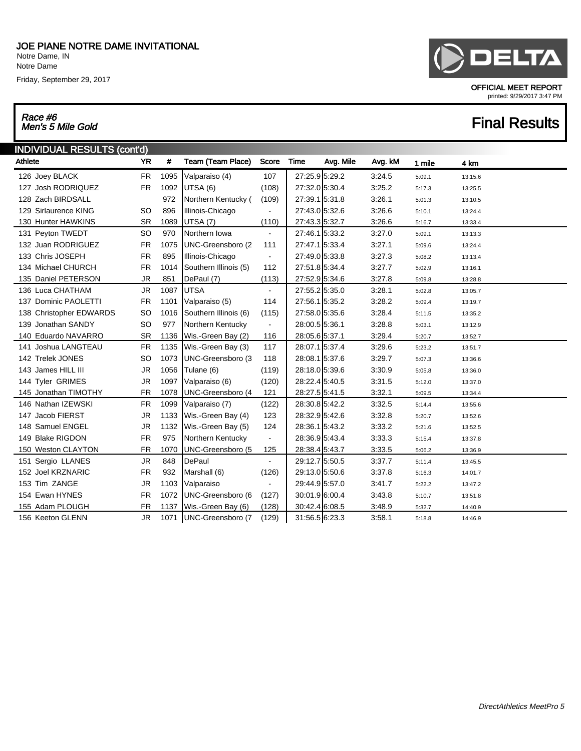Notre Dame, IN Notre Dame

Friday, September 29, 2017

## Race #6

### INDIVIDUAL RESULTS (cont'd) Athlete **YR # Team (Team Place)** Score Time Avg. Mile Avg. kM 1 mile 4 km 126 Joey BLACK FR 1095 Valparaiso (4) 107 27:25.9 5:29.2 3:24.5 5:09.1 13:15.6 127 Josh RODRIQUEZ FR 1092 UTSA (6) (108) 27:32.0 5:30.4 3:25.2 5:17.3 13:25.5 128 Zach BIRDSALL 972 Northern Kentucky ( (109) 27:39.1 5:31.8 3:26.1 5:01.3 13:10.5 129 Sirlaurence KING SO 896 Illinois-Chicago - 27:43.0 5:32.6 3:26.6 5:10.1 13:24.4 130 Hunter HAWKINS SR 1089 | UTSA (7) (110) | 27:43.3 | 5:32.7 3:26.6 5:16.7 13:33.4 131 Peyton TWEDT SO 970 Northern Iowa - 27:46.1 5:33.2 3:27.0 5:09.1 13:13.3 132 Juan RODRIGUEZ FR 1075 UNC-Greensboro (2 111 | 27:47.1 | 5:33.4 3:27.1 5:09.6 13:24.4 133 Chris JOSEPH FR 895 | Illinois-Chicago - 27:49.0 5:33.8 3:27.3 5:08.2 13:13.4 134 Michael CHURCH FR 1014 Southern Illinois (5) 112 | 27:51.8 5:34.4 3:27.7 5:02.9 13:16.1 135 Daniel PETERSON JR 851 DePaul (7) (113) 27:52.9 5:34.6 3:27.8 5:09.8 13:28.8 136 Luca CHATHAM JR 1087 UTSA - 27:55.2 5:35.0 3:28.1 5:02.8 13:05.7 137 Dominic PAOLETTI FR 1101 Valparaiso (5) 114 | 27:56.1 5:35.2 3:28.2 5:09.4 13:19.7 138 Christopher EDWARDS SO 1016 Southern Illinois (6) (115) 27:58.0 5:35.6 3:28.4 5:11.5 13:35.2 139 Jonathan SANDY SO 977 Northern Kentucky - 28:00.5 5:36.1 3:28.8 5:03.1 13:12.9 140 Eduardo NAVARRO SR 1136 Wis.-Green Bay (2) 116 28:05.6 5:37.1 3:29.4 5:20.7 13:52.7 141 Joshua LANGTEAU FR 1135 Wis.-Green Bay (3) 117 28:07.1 5:37.4 3:29.6 5:23.2 13:51.7 142 Trelek JONES SO 1073 UNC-Greensboro (3 118 28:08.1 5:37.6 3:29.7 5:07.3 13:36.6 143 James HILL III JR 1056 Tulane (6) (119) 28:18.0 5:39.6 3:30.9 5:05.8 13:36.0 144 Tyler GRIMES JR 1097 Valparaiso (6) (120) 28:22.4 5:40.5 3:31.5 5:12.0 13:37.0 145 Jonathan TIMOTHY FR 1078 UNC-Greensboro (4 121 | 28:27.5 | 5:41.5 3:32.1 5:09.5 13:34.4 146 Nathan IZEWSKI FR 1099 Valparaiso (7) (122) 28:30.8 5:42.2 3:32.5 5:14.4 13:55.6 147 Jacob FIERST JR 1133 | Wis.-Green Bay (4) 123 | 28:32.9 5:42.6 3:32.8 5:20.7 13:52.6 148 Samuel ENGEL JR 1132 Wis.-Green Bay (5) 124 | 28:36.1 5:43.2 3:33.2 5:21.6 13:52.5 149 Blake RIGDON FR 975 Northern Kentucky - 28:36.9 5:43.4 3:33.3 5:15.4 13:37.8 150 Weston CLAYTON FR 1070 UNC-Greensboro (5 125 28:38.4 5:43.7 3:33.5 5:06.2 13:36.9 151 Sergio LLANES JR 848 DePaul - 29:12.7 5:50.5 3:37.7 5:11.4 13:45.5 152 Joel KRZNARIC FR 932 Marshall (6) (126) 29:13.0 5:50.6 3:37.8 5:16.3 14:01.7 153 Tim ZANGE JR 1103 Valparaiso - 29:44.9 5:57.0 3:41.7 5:22.2 13:47.2 154 Ewan HYNES FR 1072 UNC-Greensboro (6 (127) 30:01.9 6:00.4 3:43.8 5:10.7 13:51.8 155 Adam PLOUGH FR 1137 Wis.-Green Bay (6) (128) 30:42.4 6:08.5 3:48.9 5:32.7 14:40.9 156 Keeton GLENN JR 1071 UNC-Greensboro (7 (129) 31:56.5 6:23.3 3:58.1 5:18.8 14:46.9

OFFICIAL MEET REPORT printed: 9/29/2017 3:47 PM

## $\frac{H_{RQCD}}{M}$   $\frac{H_{RQCD}}{M}$   $\frac{H_{RQCD}}{M}$   $\frac{H_{RQCD}}{M}$   $\frac{H_{RQCD}}{M}$   $\frac{H_{RQCD}}{M}$   $\frac{H_{RQCD}}{M}$   $\frac{H_{RQCD}}{M}$   $\frac{H_{RQCD}}{M}$   $\frac{H_{RQCD}}{M}$   $\frac{H_{RQCD}}{M}$   $\frac{H_{RQCD}}{M}$   $\frac{H_{RQCD}}{M}$   $\frac{H_{RQCD}}{M}$   $\frac{H_{RQCD}}{$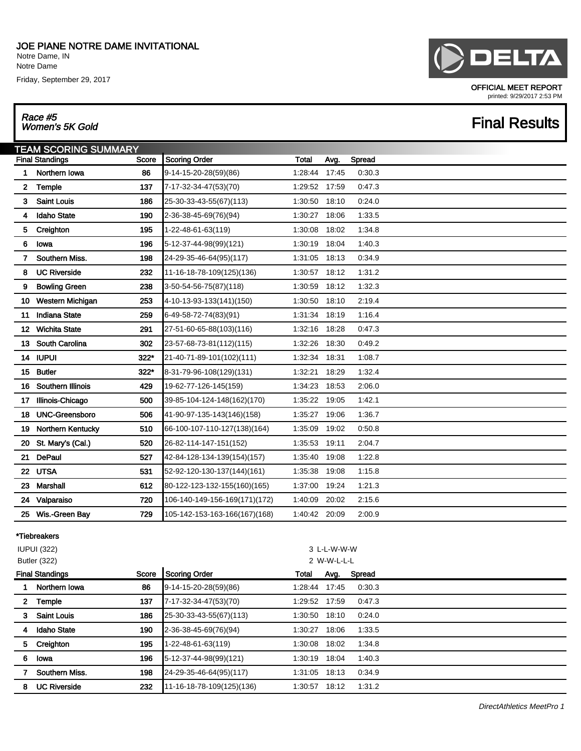Notre Dame, IN Notre Dame

Friday, September 29, 2017

# DELTA

OFFICIAL MEET REPORT printed: 9/29/2017 2:53 PM

## **Final Results**

## Race #5<br>Women's 5K Gold

|              | <b>TEAM SCORING SUMMARY</b>            |                               |               |       |        |  |
|--------------|----------------------------------------|-------------------------------|---------------|-------|--------|--|
|              | <b>Final Standings</b><br><b>Score</b> | <b>Scoring Order</b>          | Total         | Avg.  | Spread |  |
| 1            | Northern Iowa<br>86                    | 9-14-15-20-28(59)(86)         | 1:28:44       | 17:45 | 0:30.3 |  |
| $\mathbf{2}$ | Temple<br>137                          | 7-17-32-34-47(53)(70)         | 1:29:52 17:59 |       | 0.47.3 |  |
| 3.           | <b>Saint Louis</b><br>186              | 25-30-33-43-55(67)(113)       | 1:30:50       | 18:10 | 0:24.0 |  |
| 4            | <b>Idaho State</b><br>190              | 2-36-38-45-69(76)(94)         | 1:30:27       | 18:06 | 1:33.5 |  |
| 5.           | Creighton<br>195                       | 1-22-48-61-63(119)            | 1:30:08       | 18:02 | 1:34.8 |  |
| 6            | 196<br>lowa                            | 5-12-37-44-98(99)(121)        | 1:30:19       | 18:04 | 1:40.3 |  |
| $\mathbf{7}$ | Southern Miss.<br>198                  | 24-29-35-46-64(95)(117)       | 1:31:05       | 18:13 | 0.34.9 |  |
| 8            | <b>UC Riverside</b><br>232             | 11-16-18-78-109(125)(136)     | 1:30:57       | 18:12 | 1:31.2 |  |
| 9            | <b>Bowling Green</b><br>238            | 3-50-54-56-75(87)(118)        | 1:30:59       | 18:12 | 1:32.3 |  |
| 10           | Western Michigan<br>253                | 4-10-13-93-133(141)(150)      | 1:30:50       | 18:10 | 2:19.4 |  |
| 11           | <b>Indiana State</b><br>259            | 6-49-58-72-74(83)(91)         | 1:31:34       | 18:19 | 1:16.4 |  |
| 12.          | <b>Wichita State</b><br>291            | 27-51-60-65-88(103)(116)      | 1:32:16       | 18:28 | 0:47.3 |  |
| 13           | <b>South Carolina</b><br>302           | 23-57-68-73-81(112)(115)      | 1:32:26       | 18:30 | 0.49.2 |  |
|              | 14 IUPUI<br>$322*$                     | 21-40-71-89-101(102)(111)     | 1:32:34       | 18:31 | 1:08.7 |  |
|              | 322*<br>15 Butler                      | 8-31-79-96-108(129)(131)      | 1:32:21       | 18:29 | 1:32.4 |  |
| 16           | Southern Illinois<br>429               | 19-62-77-126-145(159)         | 1:34:23       | 18:53 | 2:06.0 |  |
| 17.          | Illinois-Chicago<br>500                | 39-85-104-124-148(162)(170)   | 1:35:22 19:05 |       | 1:42.1 |  |
| 18           | <b>UNC-Greensboro</b><br>506           | 41-90-97-135-143(146)(158)    | 1:35:27       | 19:06 | 1:36.7 |  |
| 19           | Northern Kentucky<br>510               | 66-100-107-110-127(138)(164)  | 1:35:09       | 19:02 | 0.50.8 |  |
| 20           | 520<br>St. Mary's (Cal.)               | 26-82-114-147-151(152)        | 1:35:53       | 19:11 | 2:04.7 |  |
| 21           | <b>DePaul</b><br>527                   | 42-84-128-134-139(154)(157)   | 1:35:40       | 19:08 | 1:22.8 |  |
|              | 22 UTSA<br>531                         | 52-92-120-130-137(144)(161)   | 1.35.38       | 19:08 | 1:15.8 |  |
| 23.          | Marshall<br>612                        | 80-122-123-132-155(160)(165)  | 1:37:00       | 19:24 | 1:21.3 |  |
|              | 24 Valparaiso<br>720                   | 106-140-149-156-169(171)(172) | 1:40:09       | 20:02 | 2:15.6 |  |
|              | 25 Wis.-Green Bay<br>729               | 105-142-153-163-166(167)(168) | 1:40:42       | 20:09 | 2:00.9 |  |

### \*Tiebreakers

|              | <b>IUPUI (322)</b>              |     |                           |               |             |        |  |
|--------------|---------------------------------|-----|---------------------------|---------------|-------------|--------|--|
|              | <b>Butler (322)</b>             |     |                           |               | 2 W-W-L-L-L |        |  |
|              | <b>Final Standings</b><br>Score |     | Scoring Order             | Total         | Avg.        | Spread |  |
|              | Northern Iowa                   | 86  | 9-14-15-20-28(59)(86)     | 1:28:44 17:45 |             | 0:30.3 |  |
| $\mathbf{2}$ | Temple                          | 137 | 7-17-32-34-47(53)(70)     | 1:29:52       | 17:59       | 0:47.3 |  |
| 3            | <b>Saint Louis</b>              | 186 | 25-30-33-43-55(67)(113)   | 1:30:50       | 18:10       | 0:24.0 |  |
| 4            | <b>Idaho State</b>              | 190 | 2-36-38-45-69(76)(94)     | 1:30:27       | 18:06       | 1:33.5 |  |
| 5            | Creighton                       | 195 | 1-22-48-61-63(119)        | 1:30:08       | 18:02       | 1:34.8 |  |
| 6            | lowa                            | 196 | 5-12-37-44-98(99)(121)    | 1:30:19       | 18:04       | 1:40.3 |  |
|              | Southern Miss.                  | 198 | 24-29-35-46-64(95)(117)   | 1:31:05       | 18:13       | 0:34.9 |  |
| 8            | <b>UC Riverside</b>             | 232 | 11-16-18-78-109(125)(136) | 1:30:57       | 18:12       | 1:31.2 |  |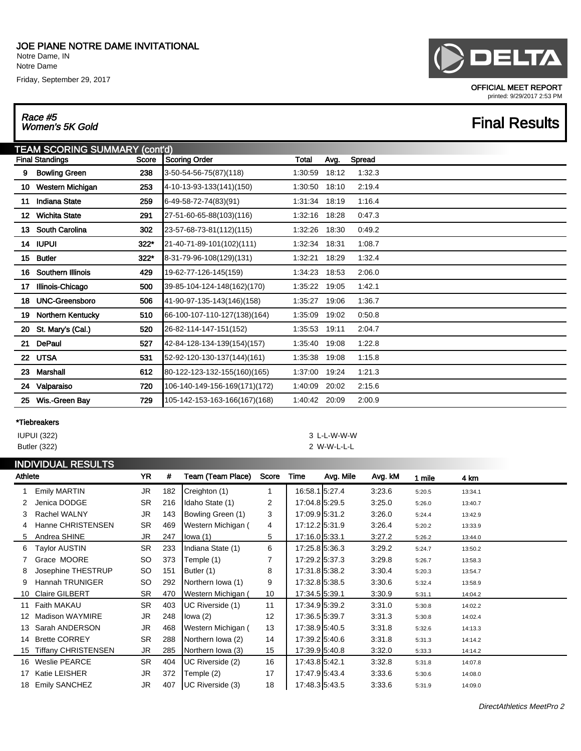Notre Dame, IN Notre Dame

Friday, September 29, 2017

## Race #5<br>Women's 5K Gold

### OFFICIAL MEET REPORT printed: 9/29/2017 2:53 PM

## **Final Results**

|       | TEAM SCORING SUMMARY (cont'd) |        |                               |         |       |        |  |  |  |  |  |
|-------|-------------------------------|--------|-------------------------------|---------|-------|--------|--|--|--|--|--|
|       | <b>Final Standings</b>        | Score  | <b>Scoring Order</b>          | Total   | Avg.  | Spread |  |  |  |  |  |
| 9     | <b>Bowling Green</b>          | 238    | 3-50-54-56-75(87)(118)        | 1:30:59 | 18:12 | 1:32.3 |  |  |  |  |  |
| 10    | Western Michigan              | 253    | 4-10-13-93-133(141)(150)      | 1:30:50 | 18:10 | 2:19.4 |  |  |  |  |  |
| 11    | <b>Indiana State</b>          | 259    | 6-49-58-72-74(83)(91)         | 1:31:34 | 18:19 | 1:16.4 |  |  |  |  |  |
| $12-$ | <b>Wichita State</b>          | 291    | 27-51-60-65-88(103)(116)      | 1:32:16 | 18:28 | 0:47.3 |  |  |  |  |  |
| 13    | <b>South Carolina</b>         | 302    | 23-57-68-73-81(112)(115)      | 1:32:26 | 18:30 | 0:49.2 |  |  |  |  |  |
|       | 14 IUPUI                      | $322*$ | 21-40-71-89-101(102)(111)     | 1:32:34 | 18:31 | 1:08.7 |  |  |  |  |  |
| 15    | <b>Butler</b>                 | $322*$ | 8-31-79-96-108(129)(131)      | 1:32:21 | 18:29 | 1:32.4 |  |  |  |  |  |
| 16    | Southern Illinois             | 429    | 19-62-77-126-145(159)         | 1:34:23 | 18:53 | 2:06.0 |  |  |  |  |  |
| 17    | Illinois-Chicago              | 500    | 39-85-104-124-148(162)(170)   | 1:35:22 | 19:05 | 1:42.1 |  |  |  |  |  |
| 18    | <b>UNC-Greensboro</b>         | 506    | 41-90-97-135-143(146)(158)    | 1:35:27 | 19:06 | 1:36.7 |  |  |  |  |  |
| 19    | Northern Kentucky             | 510    | 66-100-107-110-127(138)(164)  | 1:35:09 | 19:02 | 0:50.8 |  |  |  |  |  |
| 20    | St. Mary's (Cal.)             | 520    | 26-82-114-147-151(152)        | 1:35:53 | 19:11 | 2:04.7 |  |  |  |  |  |
| 21    | DePaul                        | 527    | 42-84-128-134-139(154)(157)   | 1:35:40 | 19:08 | 1:22.8 |  |  |  |  |  |
|       | 22 UTSA                       | 531    | 52-92-120-130-137(144)(161)   | 1:35:38 | 19:08 | 1:15.8 |  |  |  |  |  |
| 23    | Marshall                      | 612    | 80-122-123-132-155(160)(165)  | 1:37:00 | 19:24 | 1:21.3 |  |  |  |  |  |
| 24    | Valparaiso                    | 720    | 106-140-149-156-169(171)(172) | 1:40:09 | 20:02 | 2:15.6 |  |  |  |  |  |
| 25    | Wis.-Green Bay                | 729    | 105-142-153-163-166(167)(168) | 1:40:42 | 20:09 | 2:00.9 |  |  |  |  |  |

### \*Tiebreakers

### IUPUI (322) 3 L-L-W-W-W Butler (322) 2 W-W-L-L-L

| <b>INDIVIDUAL RESULTS</b> |                            |           |     |                    |       |                |           |         |        |         |
|---------------------------|----------------------------|-----------|-----|--------------------|-------|----------------|-----------|---------|--------|---------|
| Athlete                   |                            | <b>YR</b> | #   | Team (Team Place)  | Score | Time           | Avg. Mile | Avg. kM | 1 mile | 4 km    |
|                           | <b>Emily MARTIN</b>        | JR.       | 182 | Creighton (1)      | 1     | 16:58.1 5:27.4 |           | 3:23.6  | 5:20.5 | 13:34.1 |
| 2                         | Jenica DODGE               | <b>SR</b> | 216 | Idaho State (1)    | 2     | 17:04.8 5:29.5 |           | 3:25.0  | 5:26.0 | 13:40.7 |
| 3                         | Rachel WALNY               | JR        | 143 | Bowling Green (1)  | 3     | 17:09.95:31.2  |           | 3:26.0  | 5:24.4 | 13:42.9 |
| 4                         | Hanne CHRISTENSEN          | <b>SR</b> | 469 | Western Michigan ( | 4     | 17:12.2 5:31.9 |           | 3:26.4  | 5:20.2 | 13:33.9 |
| 5                         | Andrea SHINE               | JR        | 247 | lowa (1)           | 5     | 17:16.0 5:33.1 |           | 3:27.2  | 5:26.2 | 13:44.0 |
| 6                         | Taylor AUSTIN              | <b>SR</b> | 233 | Indiana State (1)  | 6     | 17:25.8 5:36.3 |           | 3:29.2  | 5:24.7 | 13:50.2 |
|                           | Grace MOORE                | SO        | 373 | Temple (1)         | 7     | 17:29.2 5:37.3 |           | 3:29.8  | 5:26.7 | 13:58.3 |
| 8                         | Josephine THESTRUP         | SO        | 151 | Butler (1)         | 8     | 17:31.8 5:38.2 |           | 3:30.4  | 5:20.3 | 13:54.7 |
| 9                         | Hannah TRUNIGER            | SO        | 292 | Northern Iowa (1)  | 9     | 17:32.8 5:38.5 |           | 3:30.6  | 5:32.4 | 13:58.9 |
| 10                        | <b>Claire GILBERT</b>      | <b>SR</b> | 470 | Western Michigan ( | 10    | 17:34.5 5:39.1 |           | 3:30.9  | 5:31.1 | 14:04.2 |
| 11                        | Faith MAKAU                | <b>SR</b> | 403 | UC Riverside (1)   | 11    | 17:34.9 5:39.2 |           | 3:31.0  | 5:30.8 | 14:02.2 |
| 12                        | <b>Madison WAYMIRE</b>     | <b>JR</b> | 248 | lowa (2)           | 12    | 17:36.5 5:39.7 |           | 3:31.3  | 5:30.8 | 14:02.4 |
| 13                        | Sarah ANDERSON             | <b>JR</b> | 468 | Western Michigan ( | 13    | 17:38.9 5:40.5 |           | 3:31.8  | 5:32.6 | 14:13.3 |
| 14                        | <b>Brette CORREY</b>       | <b>SR</b> | 288 | Northern Iowa (2)  | 14    | 17:39.2 5:40.6 |           | 3:31.8  | 5:31.3 | 14:14.2 |
| 15                        | <b>Tiffany CHRISTENSEN</b> | JR.       | 285 | Northern Iowa (3)  | 15    | 17:39.9 5:40.8 |           | 3:32.0  | 5:33.3 | 14:14.2 |
| 16                        | <b>Weslie PEARCE</b>       | <b>SR</b> | 404 | UC Riverside (2)   | 16    | 17:43.8 5:42.1 |           | 3:32.8  | 5:31.8 | 14:07.8 |
| 17                        | Katie LEISHER              | <b>JR</b> | 372 | Temple (2)         | 17    | 17:47.9 5:43.4 |           | 3:33.6  | 5:30.6 | 14:08.0 |
| 18                        | <b>Emily SANCHEZ</b>       | <b>JR</b> | 407 | UC Riverside (3)   | 18    | 17:48.3 5:43.5 |           | 3:33.6  | 5:31.9 | 14:09.0 |

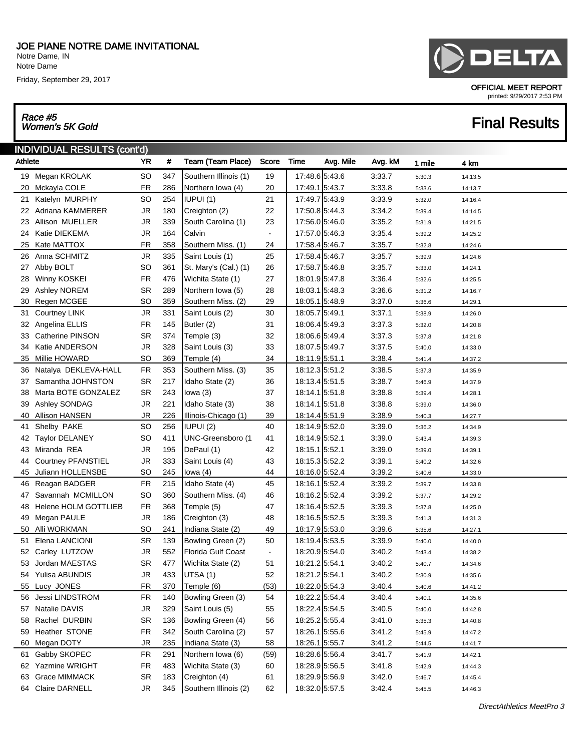Notre Dame, IN Notre Dame

Friday, September 29, 2017

## Race #5<br>Women's 5K Gold

# INDIVIDUAL RESULTS (cont'd)



OFFICIAL MEET REPORT

### printed: 9/29/2017 2:53 PM

## **Final Results**

| Athlete |                           |           | #   | Team (Team Place)     | Score          | Time           | Avg. Mile | Avg. kM | 1 mile | 4 km    |
|---------|---------------------------|-----------|-----|-----------------------|----------------|----------------|-----------|---------|--------|---------|
|         | 19 Megan KROLAK           | SO        | 347 | Southern Illinois (1) | 19             | 17:48.6 5:43.6 |           | 3:33.7  | 5:30.3 | 14:13.5 |
| 20      | Mckayla COLE              | <b>FR</b> | 286 | Northern Iowa (4)     | 20             | 17:49.1 5:43.7 |           | 3:33.8  | 5:33.6 | 14:13.7 |
| 21.     | Katelyn MURPHY            | <b>SO</b> | 254 | IUPUI (1)             | 21             | 17:49.7 5:43.9 |           | 3:33.9  | 5:32.0 | 14:16.4 |
|         | 22 Adriana KAMMERER       | <b>JR</b> | 180 | Creighton (2)         | 22             | 17:50.8 5:44.3 |           | 3:34.2  | 5:39.4 | 14:14.5 |
| 23      | Allison MUELLER           | <b>JR</b> | 339 | South Carolina (1)    | 23             | 17:56.0 5:46.0 |           | 3:35.2  | 5:31.9 | 14:21.5 |
| 24      | Katie DIEKEMA             | <b>JR</b> | 164 | Calvin                | $\blacksquare$ | 17:57.0 5:46.3 |           | 3:35.4  | 5:39.2 | 14:25.2 |
| 25      | Kate MATTOX               | <b>FR</b> | 358 | Southern Miss. (1)    | 24             | 17:58.4 5:46.7 |           | 3:35.7  | 5:32.8 | 14:24.6 |
|         | 26 Anna SCHMITZ           | JR        | 335 | Saint Louis (1)       | 25             | 17:58.4 5:46.7 |           | 3:35.7  | 5:39.9 | 14:24.6 |
| 27      | Abby BOLT                 | <b>SO</b> | 361 | St. Mary's (Cal.) (1) | 26             | 17:58.7 5:46.8 |           | 3:35.7  | 5:33.0 | 14:24.1 |
| 28      | Winny KOSKEI              | <b>FR</b> | 476 | Wichita State (1)     | 27             | 18:01.9 5:47.8 |           | 3:36.4  | 5:32.6 | 14:25.5 |
| 29      | <b>Ashley NOREM</b>       | <b>SR</b> | 289 | Northern Iowa (5)     | 28             | 18:03.1 5:48.3 |           | 3:36.6  | 5:31.2 | 14:16.7 |
| 30      | Regen MCGEE               | <b>SO</b> | 359 | Southern Miss. (2)    | 29             | 18:05.1 5:48.9 |           | 3:37.0  | 5:36.6 | 14:29.1 |
| 31      | <b>Courtney LINK</b>      | JR        | 331 | Saint Louis (2)       | 30             | 18:05.7 5:49.1 |           | 3:37.1  | 5:38.9 | 14:26.0 |
|         | 32 Angelina ELLIS         | <b>FR</b> | 145 | Butler (2)            | 31             | 18:06.4 5:49.3 |           | 3:37.3  | 5:32.0 | 14:20.8 |
| 33      | Catherine PINSON          | <b>SR</b> | 374 | Temple (3)            | 32             | 18:06.6 5:49.4 |           | 3:37.3  | 5:37.8 | 14:21.8 |
| 34      | Katie ANDERSON            | <b>JR</b> | 328 | Saint Louis (3)       | 33             | 18:07.5 5:49.7 |           | 3:37.5  | 5:40.0 | 14:33.0 |
| 35      | Millie HOWARD             | <b>SO</b> | 369 | Temple (4)            | 34             | 18:11.9 5:51.1 |           | 3:38.4  | 5:41.4 | 14:37.2 |
| 36      | Natalya DEKLEVA-HALL      | <b>FR</b> | 353 | Southern Miss. (3)    | 35             | 18:12.3 5:51.2 |           | 3:38.5  | 5:37.3 | 14:35.9 |
| 37      | Samantha JOHNSTON         | <b>SR</b> | 217 | Idaho State (2)       | 36             | 18:13.4 5:51.5 |           | 3:38.7  | 5:46.9 | 14:37.9 |
| 38      | Marta BOTE GONZALEZ       | <b>SR</b> | 243 | lowa $(3)$            | 37             | 18:14.1 5:51.8 |           | 3:38.8  | 5:39.4 | 14:28.1 |
| 39      | Ashley SONDAG             | <b>JR</b> | 221 | Idaho State (3)       | 38             | 18:14.1 5:51.8 |           | 3:38.8  | 5:39.0 | 14:36.0 |
| 40      | Allison HANSEN            | JR        | 226 | Illinois-Chicago (1)  | 39             | 18:14.4 5:51.9 |           | 3:38.9  | 5:40.3 | 14:27.7 |
| 41      | Shelby PAKE               | <b>SO</b> | 256 | IUPUI (2)             | 40             | 18:14.9 5:52.0 |           | 3:39.0  | 5:36.2 | 14:34.9 |
| 42      | <b>Taylor DELANEY</b>     | <b>SO</b> | 411 | UNC-Greensboro (1     | 41             | 18:14.9 5:52.1 |           | 3:39.0  | 5:43.4 | 14:39.3 |
| 43      | Miranda REA               | <b>JR</b> | 195 | DePaul (1)            | 42             | 18:15.1 5:52.1 |           | 3:39.0  | 5:39.0 | 14:39.1 |
| 44      | <b>Courtney PFANSTIEL</b> | <b>JR</b> | 333 | Saint Louis (4)       | 43             | 18:15.3 5:52.2 |           | 3:39.1  | 5:40.2 | 14:32.6 |
| 45      | Juliann HOLLENSBE         | SO        | 245 | lowa $(4)$            | 44             | 18:16.0 5:52.4 |           | 3:39.2  | 5:40.6 | 14:33.0 |
| 46      | Reagan BADGER             | <b>FR</b> | 215 | Idaho State (4)       | 45             | 18:16.1 5:52.4 |           | 3:39.2  | 5:39.7 | 14:33.8 |
| 47      | Savannah MCMILLON         | <b>SO</b> | 360 | Southern Miss. (4)    | 46             | 18:16.2 5:52.4 |           | 3:39.2  | 5:37.7 | 14:29.2 |
| 48      | Helene HOLM GOTTLIEB      | <b>FR</b> | 368 | Temple (5)            | 47             | 18:16.4 5:52.5 |           | 3:39.3  | 5:37.8 | 14:25.0 |
| 49      | Megan PAULE               | <b>JR</b> | 186 | Creighton (3)         | 48             | 18:16.5 5:52.5 |           | 3:39.3  | 5:41.3 | 14:31.3 |
| 50      | Alli WORKMAN              | <b>SO</b> | 241 | Indiana State (2)     | 49             | 18:17.9 5:53.0 |           | 3:39.6  | 5:35.6 | 14:27.1 |
| 51      | Elena LANCIONI            | <b>SR</b> | 139 | Bowling Green (2)     | 50             | 18:19.4 5:53.5 |           | 3:39.9  | 5:40.0 | 14:40.0 |
| 52      | Carley LUTZOW             | <b>JR</b> | 552 | Florida Gulf Coast    | $\blacksquare$ | 18:20.9 5:54.0 |           | 3:40.2  | 5:43.4 | 14:38.2 |
| 53      | Jordan MAESTAS            | <b>SR</b> | 477 | Wichita State (2)     | 51             | 18:21.2 5:54.1 |           | 3:40.2  | 5:40.7 | 14:34.6 |
|         | 54 Yulisa ABUNDIS         | <b>JR</b> | 433 | UTSA(1)               | 52             | 18:21.2 5:54.1 |           | 3:40.2  | 5:30.9 | 14:35.6 |
| 55      | Lucy JONES                | FR        | 370 | Temple (6)            | (53)           | 18:22.0 5:54.3 |           | 3:40.4  | 5:40.6 | 14:41.2 |
|         | 56 Jessi LINDSTROM        | FR        | 140 | Bowling Green (3)     | 54             | 18:22.2 5:54.4 |           | 3:40.4  | 5:40.1 | 14:35.6 |
| 57      | Natalie DAVIS             | JR        | 329 | Saint Louis (5)       | 55             | 18:22.4 5:54.5 |           | 3:40.5  | 5:40.0 | 14:42.8 |
| 58      | Rachel DURBIN             | SR        | 136 | Bowling Green (4)     | 56             | 18:25.2 5:55.4 |           | 3:41.0  | 5:35.3 | 14:40.8 |
| 59      | Heather STONE             | FR        | 342 | South Carolina (2)    | 57             | 18:26.1 5:55.6 |           | 3:41.2  | 5:45.9 | 14:47.2 |
| 60      | Megan DOTY                | <b>JR</b> | 235 | Indiana State (3)     | 58             | 18:26.1 5:55.7 |           | 3:41.2  | 5:44.5 | 14:41.7 |
| 61      | Gabby SKOPEC              | FR        | 291 | Northern Iowa (6)     | (59)           | 18:28.6 5:56.4 |           | 3:41.7  | 5:41.9 | 14:42.1 |
| 62      | Yazmine WRIGHT            | <b>FR</b> | 483 | Wichita State (3)     | 60             | 18:28.9 5:56.5 |           | 3:41.8  | 5:42.9 | 14:44.3 |
| 63      | Grace MIMMACK             | SR        | 183 | Creighton (4)         | 61             | 18:29.9 5:56.9 |           | 3:42.0  | 5:46.7 | 14:45.4 |
|         | 64 Claire DARNELL         | <b>JR</b> | 345 | Southern Illinois (2) | 62             | 18:32.0 5:57.5 |           | 3:42.4  | 5:45.5 | 14:46.3 |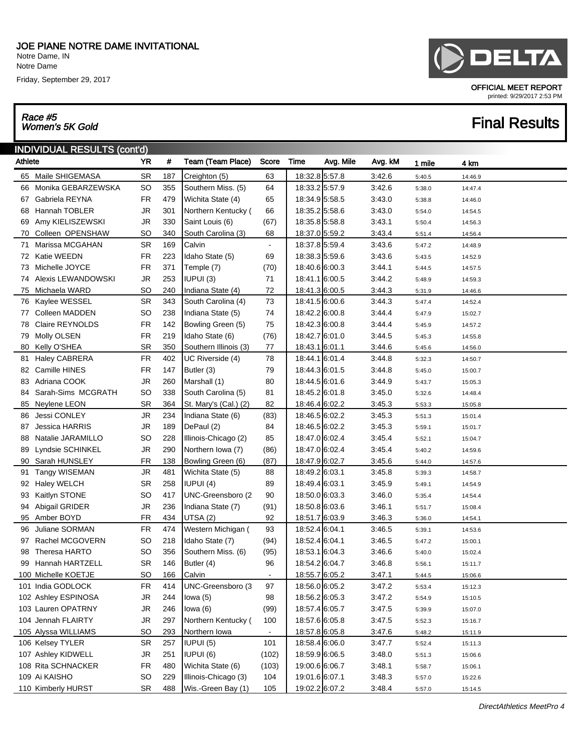Notre Dame, IN Notre Dame

Friday, September 29, 2017

## Race #5<br>Women's 5K Gold

### INDIVIDUAL RESULTS (cont'd)

| Athlete |                       | <b>YR</b> | #   | Team (Team Place)     | Score          | Time           | Avg. Mile | Avg. kM | 1 mile | 4 km    |
|---------|-----------------------|-----------|-----|-----------------------|----------------|----------------|-----------|---------|--------|---------|
|         | 65 Maile SHIGEMASA    | <b>SR</b> | 187 | Creighton (5)         | 63             | 18:32.8 5:57.8 |           | 3:42.6  | 5:40.5 | 14:46.9 |
|         | 66 Monika GEBARZEWSKA | <b>SO</b> | 355 | Southern Miss. (5)    | 64             | 18:33.2 5:57.9 |           | 3:42.6  | 5:38.0 | 14:47.4 |
|         | 67 Gabriela REYNA     | FR        | 479 | Wichita State (4)     | 65             | 18:34.9 5:58.5 |           | 3:43.0  | 5:38.8 | 14:46.0 |
| 68      | Hannah TOBLER         | <b>JR</b> | 301 | Northern Kentucky (   | 66             | 18:35.2 5:58.6 |           | 3:43.0  | 5:54.0 | 14:54.5 |
| 69      | Amy KIELISZEWSKI      | <b>JR</b> | 330 | Saint Louis (6)       | (67)           | 18:35.8 5:58.8 |           | 3:43.1  | 5:50.4 | 14:56.3 |
| 70      | Colleen OPENSHAW      | SO        | 340 | South Carolina (3)    | 68             | 18:37.0 5:59.2 |           | 3:43.4  | 5:51.4 | 14:56.4 |
| 71      | Marissa MCGAHAN       | <b>SR</b> | 169 | Calvin                | $\blacksquare$ | 18:37.8 5:59.4 |           | 3:43.6  | 5:47.2 | 14:48.9 |
|         | 72 Katie WEEDN        | FR        | 223 | Idaho State (5)       | 69             | 18:38.3 5:59.6 |           | 3:43.6  | 5:43.5 | 14:52.9 |
|         | 73 Michelle JOYCE     | FR        | 371 | Temple (7)            | (70)           | 18:40.6 6:00.3 |           | 3:44.1  | 5:44.5 | 14:57.5 |
|         | 74 Alexis LEWANDOWSKI | <b>JR</b> | 253 | IUPUI (3)             | 71             | 18:41.1 6:00.5 |           | 3:44.2  | 5:48.9 | 14:59.3 |
| 75      | Michaela WARD         | SO        | 240 | Indiana State (4)     | 72             | 18:41.3 6:00.5 |           | 3:44.3  | 5:31.9 | 14:46.6 |
|         | 76 Kaylee WESSEL      | <b>SR</b> | 343 | South Carolina (4)    | 73             | 18:41.5 6:00.6 |           | 3:44.3  | 5:47.4 | 14:52.4 |
|         | 77 Colleen MADDEN     | <b>SO</b> | 238 | Indiana State (5)     | 74             | 18:42.2 6:00.8 |           | 3:44.4  | 5:47.9 | 15:02.7 |
| 78      | Claire REYNOLDS       | FR        | 142 | Bowling Green (5)     | 75             | 18:42.3 6:00.8 |           | 3:44.4  | 5:45.9 | 14:57.2 |
| 79      | Molly OLSEN           | FR        | 219 | Idaho State (6)       | (76)           | 18:42.7 6:01.0 |           | 3:44.5  | 5:45.3 | 14:55.8 |
| 80      | Kelly O'SHEA          | <b>SR</b> | 350 | Southern Illinois (3) | 77             | 18:43.1 6:01.1 |           | 3:44.6  | 5:45.6 | 14:56.0 |
| 81      | <b>Haley CABRERA</b>  | <b>FR</b> | 402 | UC Riverside (4)      | 78             | 18:44.1 6:01.4 |           | 3:44.8  | 5:32.3 | 14:50.7 |
|         | 82 Camille HINES      | FR        | 147 | Butler (3)            | 79             | 18:44.3 6:01.5 |           | 3:44.8  | 5:45.0 | 15:00.7 |
|         | 83 Adriana COOK       | <b>JR</b> | 260 | Marshall (1)          | 80             | 18:44.5 6:01.6 |           | 3:44.9  | 5:43.7 | 15:05.3 |
|         | 84 Sarah-Sims MCGRATH | <b>SO</b> | 338 | South Carolina (5)    | 81             | 18:45.2 6:01.8 |           | 3:45.0  | 5:32.6 | 14:48.4 |
|         | 85 Neylene LEON       | SR.       | 364 | St. Mary's (Cal.) (2) | 82             | 18:46.4 6:02.2 |           | 3:45.3  | 5:53.3 | 15:05.8 |
| 86      | Jessi CONLEY          | <b>JR</b> | 234 | Indiana State (6)     | (83)           | 18:46.5 6:02.2 |           | 3:45.3  | 5:51.3 | 15:01.4 |
| 87      | Jessica HARRIS        | <b>JR</b> | 189 | DePaul (2)            | 84             | 18:46.5 6:02.2 |           | 3:45.3  | 5:59.1 | 15:01.7 |
| 88      | Natalie JARAMILLO     | <b>SO</b> | 228 | Illinois-Chicago (2)  | 85             | 18:47.0 6:02.4 |           | 3:45.4  | 5:52.1 | 15:04.7 |
| 89      | Lyndsie SCHINKEL      | <b>JR</b> | 290 | Northern Iowa (7)     | (86)           | 18:47.0 6:02.4 |           | 3:45.4  | 5:40.2 | 14:59.6 |
| 90      | Sarah HUNSLEY         | FR        | 138 | Bowling Green (6)     | (87)           | 18:47.9 6:02.7 |           | 3:45.6  | 5:44.0 | 14:57.6 |
| 91      | Tangy WISEMAN         | <b>JR</b> | 481 | Wichita State (5)     | 88             | 18:49.2 6:03.1 |           | 3:45.8  | 5:39.3 | 14:58.7 |
|         | 92 Haley WELCH        | <b>SR</b> | 258 | IUPUI (4)             | 89             | 18:49.4 6:03.1 |           | 3:45.9  | 5:49.1 | 14:54.9 |
| 93      | Kaitlyn STONE         | <b>SO</b> | 417 | UNC-Greensboro (2     | 90             | 18:50.0 6:03.3 |           | 3:46.0  | 5:35.4 | 14:54.4 |
| 94      | Abigail GRIDER        | JR        | 236 | Indiana State (7)     | (91)           | 18:50.8 6:03.6 |           | 3:46.1  | 5:51.7 | 15:08.4 |
|         | 95 Amber BOYD         | FR        | 434 | UTSA(2)               | 92             | 18:51.7 6:03.9 |           | 3:46.3  | 5:36.0 | 14:54.1 |
| 96      | Juliane SORMAN        | FR        | 474 | Western Michigan (    | 93             | 18:52.4 6:04.1 |           | 3:46.5  | 5:39.1 | 14:53.6 |
|         | 97 Rachel MCGOVERN    | <b>SO</b> | 218 | Idaho State (7)       | (94)           | 18:52.4 6:04.1 |           | 3:46.5  | 5:47.2 | 15:00.1 |
| 98      | Theresa HARTO         | <b>SO</b> | 356 | Southern Miss. (6)    | (95)           | 18:53.1 6:04.3 |           | 3:46.6  | 5:40.0 | 15:02.4 |
| 99      | Hannah HARTZELL       | <b>SR</b> | 146 | Butler (4)            | 96             | 18:54.2 6:04.7 |           | 3:46.8  | 5:56.1 | 15:11.7 |
|         | 100 Michelle KOETJE   | SO        | 166 | Calvin                | $\blacksquare$ | 18:55.7 6:05.2 |           | 3:47.1  | 5:44.5 | 15:06.6 |
|         | 101 India GODLOCK     | FR        | 414 | UNC-Greensboro (3     | 97             | 18:56.0 6:05.2 |           | 3:47.2  | 5:53.4 | 15:12.3 |
|         | 102 Ashley ESPINOSA   | <b>JR</b> | 244 | lowa $(5)$            | 98             | 18:56.2 6:05.3 |           | 3:47.2  | 5:54.9 | 15:10.5 |
|         | 103 Lauren OPATRNY    | JR.       | 246 | lowa $(6)$            | (99)           | 18:57.4 6:05.7 |           | 3:47.5  | 5:39.9 | 15:07.0 |
|         | 104 Jennah FLAIRTY    | JR.       | 297 | Northern Kentucky (   | 100            | 18:57.6 6:05.8 |           | 3:47.5  | 5:52.3 | 15:16.7 |
|         | 105 Alyssa WILLIAMS   | <b>SO</b> | 293 | Northern Iowa         | $\blacksquare$ | 18:57.8 6:05.8 |           | 3:47.6  | 5:48.2 | 15:11.9 |
|         | 106 Kelsey TYLER      | <b>SR</b> | 257 | IUPUI(5)              | 101            | 18:58.4 6:06.0 |           | 3:47.7  | 5:52.4 | 15:11.3 |
|         | 107 Ashley KIDWELL    | JR.       | 251 | <b>IUPUI (6)</b>      | (102)          | 18:59.9 6:06.5 |           | 3:48.0  | 5:51.3 | 15:06.6 |
|         | 108 Rita SCHNACKER    | <b>FR</b> | 480 | Wichita State (6)     | (103)          | 19:00.6 6:06.7 |           | 3:48.1  | 5:58.7 | 15:06.1 |
|         | 109 Ai KAISHO         | SO        | 229 | Illinois-Chicago (3)  | 104            | 19:01.6 6:07.1 |           | 3:48.3  | 5:57.0 | 15:22.6 |
|         | 110 Kimberly HURST    | <b>SR</b> | 488 | Wis.-Green Bay (1)    | 105            | 19:02.2 6:07.2 |           | 3:48.4  | 5:57.0 | 15:14.5 |



OFFICIAL MEET REPORT

**Final Results** 

printed: 9/29/2017 2:53 PM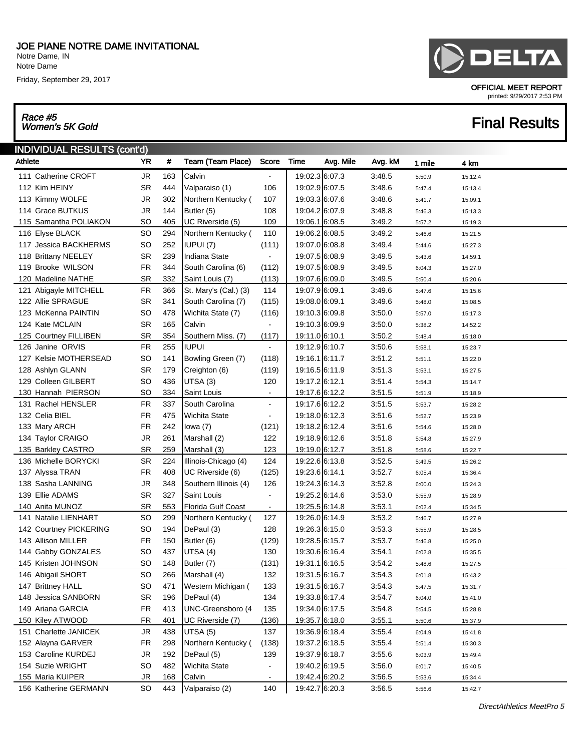Notre Dame, IN Notre Dame

Friday, September 29, 2017

## Race #5<br>Women's 5K Gold

| Æ<br>. .<br><b>A</b> |
|----------------------|
|----------------------|

OFFICIAL MEET REPORT printed: 9/29/2017 2:53 PM

| INDIVIDUAL RESULTS (cont'd) |           |     |                       |                          |                |           |         |        |         |
|-----------------------------|-----------|-----|-----------------------|--------------------------|----------------|-----------|---------|--------|---------|
| <b>Athlete</b>              | YR        | #   | Team (Team Place)     | Score                    | Time           | Avg. Mile | Avg. kM | 1 mile | 4 km    |
| 111 Catherine CROFT         | <b>JR</b> | 163 | Calvin                | $\blacksquare$           | 19:02.3 6:07.3 |           | 3:48.5  | 5:50.9 | 15:12.4 |
| 112 Kim HEINY               | <b>SR</b> | 444 | Valparaiso (1)        | 106                      | 19:02.9 6:07.5 |           | 3:48.6  | 5:47.4 | 15:13.4 |
| 113 Kimmy WOLFE             | <b>JR</b> | 302 | Northern Kentucky (   | 107                      | 19:03.3 6:07.6 |           | 3:48.6  | 5:41.7 | 15:09.1 |
| 114 Grace BUTKUS            | <b>JR</b> | 144 | Butler (5)            | 108                      | 19:04.2 6:07.9 |           | 3:48.8  | 5:46.3 | 15:13.3 |
| 115 Samantha POLIAKON       | SO        | 405 | UC Riverside (5)      | 109                      | 19:06.1 6:08.5 |           | 3:49.2  | 5:57.2 | 15:19.3 |
| 116 Elyse BLACK             | <b>SO</b> | 294 | Northern Kentucky (   | 110                      | 19:06.2 6:08.5 |           | 3:49.2  | 5:46.6 | 15:21.5 |
| 117 Jessica BACKHERMS       | <b>SO</b> | 252 | IUPUI (7)             | (111)                    | 19:07.0 6:08.8 |           | 3:49.4  | 5:44.6 | 15:27.3 |
| 118 Brittany NEELEY         | <b>SR</b> | 239 | Indiana State         | $\blacksquare$           | 19:07.5 6:08.9 |           | 3:49.5  | 5:43.6 | 14:59.1 |
| 119 Brooke WILSON           | <b>FR</b> | 344 | South Carolina (6)    | (112)                    | 19:07.5 6:08.9 |           | 3:49.5  | 6:04.3 | 15:27.0 |
| 120 Madeline NATHE          | <b>SR</b> | 332 | Saint Louis (7)       | (113)                    | 19:07.6 6:09.0 |           | 3:49.5  | 5:50.4 | 15:20.6 |
| 121 Abigayle MITCHELL       | <b>FR</b> | 366 | St. Mary's (Cal.) (3) | 114                      | 19:07.9 6:09.1 |           | 3:49.6  | 5:47.6 | 15:15.6 |
| 122 Allie SPRAGUE           | <b>SR</b> | 341 | South Carolina (7)    | (115)                    | 19:08.0 6:09.1 |           | 3:49.6  | 5:48.0 | 15:08.5 |
| 123 McKenna PAINTIN         | <b>SO</b> | 478 | Wichita State (7)     | (116)                    | 19:10.3 6:09.8 |           | 3:50.0  | 5:57.0 | 15:17.3 |
| 124 Kate MCLAIN             | <b>SR</b> | 165 | Calvin                | $\blacksquare$           | 19:10.3 6:09.9 |           | 3:50.0  | 5:38.2 | 14:52.2 |
| 125 Courtney FILLIBEN       | <b>SR</b> | 354 | Southern Miss. (7)    | (117)                    | 19:11.0 6:10.1 |           | 3:50.2  | 5:48.4 | 15:18.0 |
| 126 Janine ORVIS            | <b>FR</b> | 255 | <b>IUPUI</b>          | $\blacksquare$           | 19:12.9 6:10.7 |           | 3:50.6  | 5:58.1 | 15:23.7 |
| 127 Kelsie MOTHERSEAD       | <b>SO</b> | 141 | Bowling Green (7)     | (118)                    | 19:16.1 6:11.7 |           | 3:51.2  | 5:51.1 | 15:22.0 |
| 128 Ashlyn GLANN            | <b>SR</b> | 179 | Creighton (6)         | (119)                    | 19:16.5 6:11.9 |           | 3:51.3  | 5:53.1 | 15:27.5 |
| 129 Colleen GILBERT         | <b>SO</b> | 436 | UTSA (3)              | 120                      | 19:17.2 6:12.1 |           | 3:51.4  | 5:54.3 | 15:14.7 |
| 130 Hannah PIERSON          | <b>SO</b> | 334 | Saint Louis           | $\blacksquare$           | 19:17.6 6:12.2 |           | 3:51.5  | 5:51.9 | 15:18.9 |
| 131 Rachel HENSLER          | <b>FR</b> | 337 | South Carolina        | $\overline{\phantom{a}}$ | 19:17.6 6:12.2 |           | 3:51.5  | 5:53.7 | 15:28.2 |
| 132 Celia BIEL              | <b>FR</b> | 475 | <b>Wichita State</b>  | $\blacksquare$           | 19:18.0 6:12.3 |           | 3:51.6  | 5:52.7 | 15:23.9 |
| 133 Mary ARCH               | <b>FR</b> | 242 | lowa $(7)$            | (121)                    | 19:18.2 6:12.4 |           | 3:51.6  | 5:54.6 | 15:28.0 |
| 134 Taylor CRAIGO           | <b>JR</b> | 261 | Marshall (2)          | 122                      | 19:18.9 6:12.6 |           | 3:51.8  | 5:54.8 | 15:27.9 |
| 135 Barkley CASTRO          | <b>SR</b> | 259 | Marshall (3)          | 123                      | 19:19.0 6:12.7 |           | 3:51.8  | 5:58.6 | 15:22.7 |
| 136 Michelle BORYCKI        | <b>SR</b> | 224 | Illinois-Chicago (4)  | 124                      | 19:22.6 6:13.8 |           | 3:52.5  | 5:49.5 | 15:26.2 |
| 137 Alyssa TRAN             | <b>FR</b> | 408 | UC Riverside (6)      | (125)                    | 19:23.6 6:14.1 |           | 3:52.7  | 6:05.4 | 15:36.4 |
| 138 Sasha LANNING           | <b>JR</b> | 348 | Southern Illinois (4) | 126                      | 19:24.3 6:14.3 |           | 3:52.8  | 6:00.0 | 15:24.3 |
| 139 Ellie ADAMS             | <b>SR</b> | 327 | Saint Louis           | $\blacksquare$           | 19:25.2 6:14.6 |           | 3:53.0  | 5:55.9 | 15:28.9 |
| 140 Anita MUNOZ             | <b>SR</b> | 553 | Florida Gulf Coast    | $\blacksquare$           | 19:25.5 6:14.8 |           | 3:53.1  | 6:02.4 | 15:34.5 |
| 141 Natalie LIENHART        | <b>SO</b> | 299 | Northern Kentucky (   | 127                      | 19:26.0 6:14.9 |           | 3:53.2  | 5:46.7 | 15:27.9 |
| 142 Courtney PICKERING      | <b>SO</b> | 194 | DePaul (3)            | 128                      | 19:26.3 6:15.0 |           | 3:53.3  | 5:55.9 | 15:28.5 |
| 143 Allison MILLER          | <b>FR</b> | 150 | Butler (6)            | (129)                    | 19:28.5 6:15.7 |           | 3:53.7  | 5:46.8 | 15:25.0 |
| 144 Gabby GONZALES          | <b>SO</b> | 437 | UTSA (4)              | 130                      | 19:30.6 6:16.4 |           | 3.54.1  | 6:02.8 | 15:35.5 |
| 145 Kristen JOHNSON         | <b>SO</b> | 148 | Butler (7)            | (131)                    | 19:31.1 6:16.5 |           | 3:54.2  | 5:48.6 | 15:27.5 |
| 146 Abigail SHORT           | SO        | 266 | Marshall (4)          | 132                      | 19:31.5 6:16.7 |           | 3:54.3  | 6:01.8 | 15:43.2 |
| 147 Brittney HALL           | SO        | 471 | Western Michigan (    | 133                      | 19:31.5 6:16.7 |           | 3:54.3  | 5:47.5 | 15:31.7 |
| 148 Jessica SANBORN         | SR        | 196 | DePaul (4)            | 134                      | 19:33.8 6:17.4 |           | 3:54.7  | 6:04.0 | 15:41.0 |
| 149 Ariana GARCIA           | <b>FR</b> | 413 | UNC-Greensboro (4     | 135                      | 19:34.0 6:17.5 |           | 3:54.8  | 5:54.5 | 15:28.8 |
| 150 Kiley ATWOOD            | <b>FR</b> | 401 | UC Riverside (7)      | (136)                    | 19:35.7 6:18.0 |           | 3:55.1  | 5:50.6 | 15:37.9 |
| 151 Charlette JANICEK       | JR        | 438 | UTSA (5)              | 137                      | 19:36.9 6:18.4 |           | 3:55.4  | 6:04.9 | 15:41.8 |
| 152 Alayna GARVER           | <b>FR</b> | 298 | Northern Kentucky (   | (138)                    | 19:37.2 6:18.5 |           | 3:55.4  | 5:51.4 | 15:30.3 |
| 153 Caroline KURDEJ         | JR        | 192 | DePaul (5)            | 139                      | 19:37.9 6:18.7 |           | 3:55.6  | 6:03.9 | 15:49.4 |
| 154 Suzie WRIGHT            | SO        | 482 | <b>Wichita State</b>  | $\blacksquare$           | 19:40.2 6:19.5 |           | 3:56.0  | 6:01.7 | 15:40.5 |
| 155 Maria KUIPER            | <b>JR</b> | 168 | Calvin                | ٠                        | 19:42.4 6:20.2 |           | 3:56.5  | 5:53.6 | 15:34.4 |
| 156 Katherine GERMANN       | SO        | 443 | Valparaiso (2)        | 140                      | 19:42.7 6:20.3 |           | 3:56.5  | 5:56.6 | 15:42.7 |
|                             |           |     |                       |                          |                |           |         |        |         |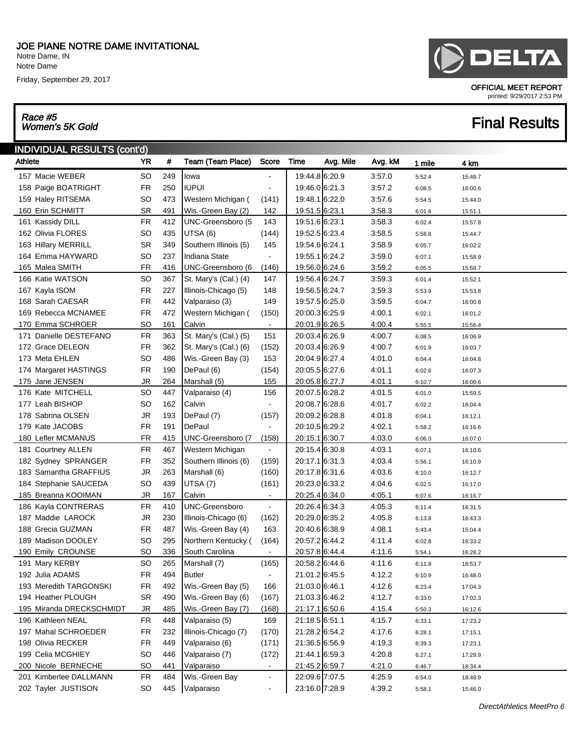Notre Dame, IN Notre Dame

Friday, September 29, 2017

## Race #5

### INDIVIDUAL RESULTS (cont'd) Athlete **YR # Team (Team Place)** Score Time Avg. Mile Avg. kM 1 mile 4 km 157 Macie WEBER SO 249 | Iowa - 19:44.8 6:20.9 3:57.0 5:52.4 15:48.7 158 Paige BOATRIGHT FR 250 |IUPUI - | 19:46.0 6:21.3 3:57.2 6:08.5 16:00.6 159 Haley RITSEMA SO 473 | Western Michigan ( (141) | 19:48.1 6:22.0 3:57.6 5:54.5 15:44.0 160 Erin SCHMITT SR 491 Wis.-Green Bay (2) 142 19:51.5 6:23.1 3:58.3 6:01.6 15:51.1 161 Kassidy DILL FR 412 UNC-Greensboro (5 143 19:51.6 6:23.1 3:58.3 6:02.4 15:57.8 162 Olivia FLORES SO 435 UTSA (6) (144) 19:52.5 6:23.4 3:58.5 5:58.8 15:44.7 163 Hillary MERRILL SR 349 Southern Illinois (5) 145 19:54.6 6:24.1 3:58.9 6:05.7 16:02.2 164 Emma HAYWARD SO 237 | Indiana State - | 19:55.1 6:24.2 3:59.0 6:07.1 15:58.9 165 Malea SMITH FR 416 UNC-Greensboro (6 (146) 19:56.0 6:24.6 3:59.2 6:05.5 15:58.7 166 Katie WATSON SO 367 St. Mary's (Cal.) (4) 147 | 19:56.4 6:24.7 3:59.3 6:01.4 15:52.1 167 Kayla ISOM FR 227 Illinois-Chicago (5) 148 19:56.5 6:24.7 3:59.3 5:53.9 15:53.8 168 Sarah CAESAR FR 442 Valparaiso (3) 149 19:57.5 6:25.0 3:59.5 6:04.7 16:00.8 169 Rebecca MCNAMEE FR 472 Western Michigan ( (150) 20:00.3 6:25.9 4:00.1 6:02.1 16:01.2 170 Emma SCHROER SO 161 Calvin - 20:01.9 6:26.5 4:00.4 5:55.5 15:56.4 171 Danielle DESTEFANO FR 363 St. Mary's (Cal.) (5) 151 | 20:03.4 6:26.9 4:00.7 6:08.5 16:06.9 172 Grace DELEON FR 362 St. Mary's (Cal.) (6) (152) 20:03.4 6:26.9 4:00.7 6:01.9 16:03.7 173 Meta EHLEN SO 486 | Wis.-Green Bay (3) 153 | 20:04.9 | 6:27.4 4:01.0 6:04.4 16:04.8 174 Margaret HASTINGS FR 190 DePaul (6) (154) 20:05.5 6:27.6 4:01.1 6:02.6 16:07.3 175 Jane JENSEN JR 264 Marshall (5) 155 20:05.8 6:27.7 4:01.1 6:10.7 16:09.6 176 Kate MITCHELL SO 447 | Valparaiso (4) 156 | 20:07.5 | 6:28.2 4:01.5 6:01.0 15:59.5 177 Leah BISHOP SO 162 Calvin - 20:08.7 6:28.6 4:01.7 6:02.2 16:04.4 178 Sabrina OLSEN JR 193 DePaul (7) (157) 20:09.2 6:28.8 4:01.8 6:04.1 16:12.1 179 Kate JACOBS FR 191 DePaul - 20:10.5 6:29.2 4:02.1 5:58.2 16:16.6 180 Lefler MCMANUS FR 415 UNC-Greensboro (7 (158) 20:15.1 6:30.7 4:03.0 6:06.0 16:07.0 181 Courtney ALLEN FR 467 Western Michigan - 20:15.4 6:30.8 4:03.1 6:07.1 16:10.6 182 Sydney SPRANGER FR 352 Southern Illinois (6) (159) 20:17.1 6:31.3 4:03.4 5:56.1 16:10.9 183 Samantha GRAFFIUS JR 263 Marshall (6) (160) 20:17.8 6:31.6 4:03.6 6:10.0 16:12.7 184 Stephanie SAUCEDA SO 439 | UTSA (7) (161) | 20:23.0 6:33.2 4:04.6 6:02.5 16:17.0 المستخدم المستخدم المستخدم المستخدم المستخدم المستخدم المستخدم المستخدم المستخدم المستخدم المستخدم المستخدم ال<br>المستخدم المستخدم المستخدم المستخدم المستخدم المستخدم المستخدم المستخدم المستخدم المستخدم المستخدم المستخدم ال

## DELTA

OFFICIAL MEET REPORT

printed: 9/29/2017 2:53 PM

196 Kathleen NEAL FR 448 Valparaiso (5) 169 21:18.5 6:51.1 4:15.7 6:33.1 17:23.2 197 Mahal SCHROEDER FR 232 Illinois-Chicago (7) (170) 21:28.2 6:54.2 4:17.6 6:28.1 17:15.1 198 Olivia RECKER FR 449 Valparaiso (6) (171) 21:36.5 6:56.9 4:19.3 6:39.3 17:23.1 199 Celia MCGHIEY 60 A46 | Valparaiso (7) (172) | 21:44.1 6:59.3 4:20.8 6:27.1 17:29.9 200 Nicole BERNECHE SO 441 | Valparaiso - | 21:45.2 6:59.7 4:21.0 6:46.7 18:34.4 201 Kimberlee DALLMANN FR 484 Wis.-Green Bay - 22:09.6 7:07.5 4:25.9 6:54.0 18:48.9 202 Tayler JUSTISON SO 445 Valparaiso - 23:16.0 7:28.9 4:39.2 5:58.1 15:46.0

185 Breanna KOOIMAN JR 167 Calvin - 20:25.4 6:34.0 4:05.1 6:07.6 16:16.7 186 Kayla CONTRERAS FR 410 | UNC-Greensboro - | 20:26.4 6:34.3 4:05.3 6:11.4 16:31.5 187 Maddie LAROCK JR 230 Illinois-Chicago (6) (162) 20:29.0 6:35.2 4:05.8 6:13.8 16:43.3 188 Grecia GUZMAN FR 487 Wis.-Green Bay (4)  $163$  20:40.6 6:38.9 4:08.1 5:43.4 15:04.4 189 Madison DOOLEY SO 295 Northern Kentucky ( (164) 20:57.2 6:44.2 4:11.4 6:02.8 16:33.2 190 Emily CROUNSE SO 336 South Carolina - 20:57.8 6:44.4 4:11.6 5:54.1 16:28.2 191 Mary KERBY SO 265 Marshall (7) (165) 20:58.2 6:44.6 4:11.6 6:11.8 16:53.7 192 Julia ADAMS **FR** 494 Butler - 21:01.2 6:45.5 4:12.2 6:10.9 16:48.0 193 Meredith TARGONSKI FR 492 Wis.-Green Bay (5) 166 21:03.0 6:46.1 4:12.6 6:23.4 17:04.3 194 Heather PLOUGH SR 490 Wis.-Green Bay (6) (167) 21:03.3 6:46.2 4:12.7 6:33.0 17:02.3 195 Miranda DRECKSCHMIDT JR 485 Wis.-Green Bay (7) (168) 21:17.1 6:50.6 4:15.4 5:50.3 16:12.6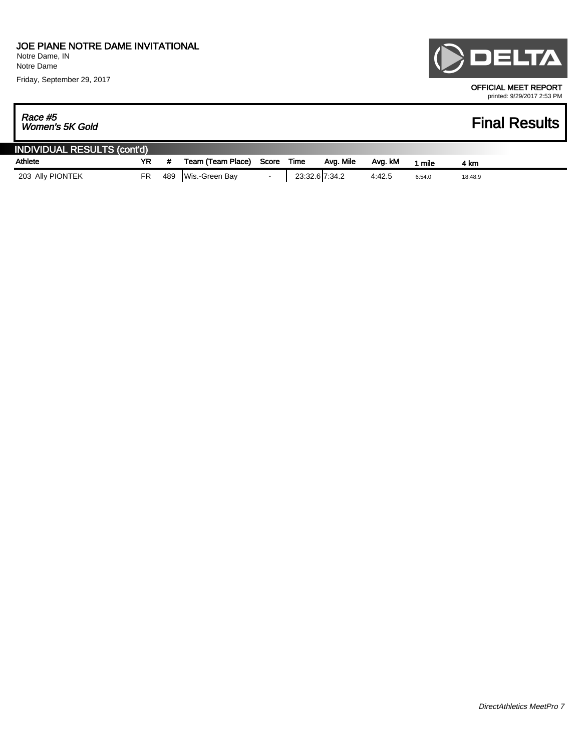Notre Dame Friday, September 29, 2017

## DELTA OFFICIAL MEET REPORT

printed: 9/29/2017 2:53 PM

## Race #5<br>Women's 5K Gold

| <b>INDIVIDUAL RESULTS (cont'd)</b> |    |     |                   |       |                |           |         |        |         |
|------------------------------------|----|-----|-------------------|-------|----------------|-----------|---------|--------|---------|
| Athlete                            | YR |     | Team (Team Place) | Score | Time           | Ava. Mile | Ava. kM | mile   | 4 km    |
| 203 Ally PIONTEK                   | FR | 489 | Wis.-Green Bay    |       | 23:32.6 7:34.2 |           | 4:42.5  | 6:54.0 | 18:48.9 |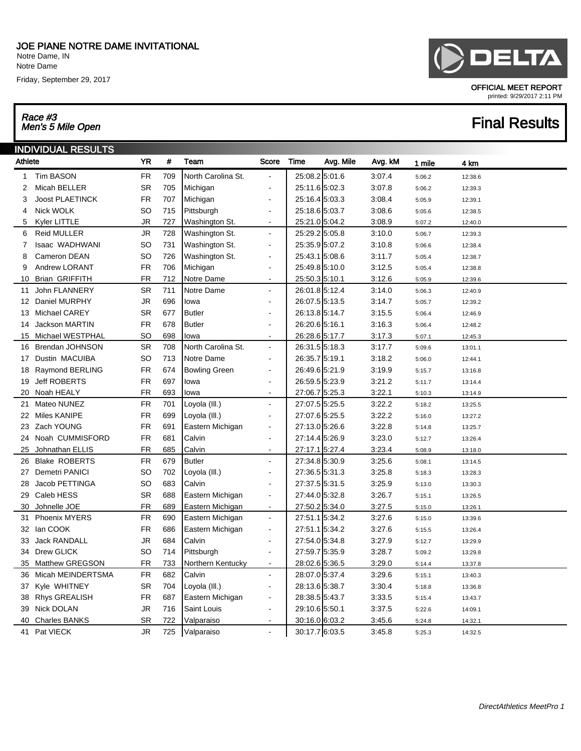Notre Dame, IN Notre Dame

Friday, September 29, 2017

## Race #3<br>Men's 5 Mile Open

|   | $\blacksquare$ |
|---|----------------|
| . |                |

OFFICIAL MEET REPORT printed: 9/29/2017 2:11 PM

|                | <b>INDIVIDUAL RESULTS</b> |           |     |                      |                          |                   |         |        |         |  |
|----------------|---------------------------|-----------|-----|----------------------|--------------------------|-------------------|---------|--------|---------|--|
| Athlete        |                           | <b>YR</b> | #   | Team                 | Score                    | Time<br>Avg. Mile | Avg. kM | 1 mile | 4 km    |  |
| $\mathbf{1}$   | <b>Tim BASON</b>          | FR        | 709 | North Carolina St.   |                          | 25:08.25:01.6     | 3:07.4  | 5:06.2 | 12:38.6 |  |
| 2              | Micah BELLER              | SR        | 705 | Michigan             |                          | 25:11.6 5:02.3    | 3:07.8  | 5:06.2 | 12:39.3 |  |
| 3              | <b>Joost PLAETINCK</b>    | <b>FR</b> | 707 | Michigan             | L.                       | 25:16.4 5:03.3    | 3:08.4  | 5:05.9 | 12:39.1 |  |
| 4              | Nick WOLK                 | SO        | 715 | Pittsburgh           | ä,                       | 25:18.65:03.7     | 3:08.6  | 5:05.6 | 12:38.5 |  |
| 5              | Kyler LITTLE              | JR        | 727 | Washington St.       | $\sim$                   | 25:21.0 5:04.2    | 3:08.9  | 5:07.2 | 12:40.0 |  |
| 6              | <b>Reid MULLER</b>        | <b>JR</b> | 728 | Washington St.       | $\blacksquare$           | 25:29.2 5:05.8    | 3:10.0  | 5:06.7 | 12:39.3 |  |
| $\overline{7}$ | Isaac WADHWANI            | SO        | 731 | Washington St.       | $\sim$                   | 25:35.9 5:07.2    | 3:10.8  | 5:06.6 | 12:38.4 |  |
| 8              | Cameron DEAN              | SO        | 726 | Washington St.       | $\blacksquare$           | 25:43.15:08.6     | 3:11.7  | 5:05.4 | 12:38.7 |  |
| 9              | Andrew LORANT             | <b>FR</b> | 706 | Michigan             | $\overline{a}$           | 25:49.85:10.0     | 3:12.5  | 5:05.4 | 12:38.8 |  |
| 10             | Brian GRIFFITH            | <b>FR</b> | 712 | Notre Dame           |                          | 25:50.3 5:10.1    | 3:12.6  | 5:05.9 | 12:39.6 |  |
| 11             | John FLANNERY             | <b>SR</b> | 711 | Notre Dame           | $\blacksquare$           | 26:01.8 5:12.4    | 3:14.0  | 5:06.3 | 12:40.9 |  |
| 12             | Daniel MURPHY             | JR        | 696 | lowa                 | L.                       | 26:07.5 5:13.5    | 3:14.7  | 5:05.7 | 12:39.2 |  |
| 13             | Michael CAREY             | <b>SR</b> | 677 | <b>Butler</b>        |                          | 26:13.85:14.7     | 3:15.5  | 5:06.4 | 12:46.9 |  |
| 14             | <b>Jackson MARTIN</b>     | <b>FR</b> | 678 | <b>Butler</b>        | $\sim$                   | 26:20.6 5:16.1    | 3:16.3  | 5:06.4 | 12:48.2 |  |
| 15             | Michael WESTPHAL          | SO        | 698 | lowa                 | $\overline{\phantom{a}}$ | 26:28.6 5:17.7    | 3:17.3  | 5:07.1 | 12:45.3 |  |
| 16             | Brendan JOHNSON           | <b>SR</b> | 708 | North Carolina St.   | $\blacksquare$           | 26:31.5 5:18.3    | 3:17.7  | 5:09.6 | 13:01.1 |  |
| 17             | Dustin MACUIBA            | SO        | 713 | Notre Dame           | L.                       | 26:35.7 5:19.1    | 3:18.2  | 5:06.0 | 12:44.1 |  |
| 18             | Raymond BERLING           | <b>FR</b> | 674 | <b>Bowling Green</b> | $\blacksquare$           | 26:49.6 5:21.9    | 3:19.9  | 5:15.7 | 13:16.8 |  |
| 19             | <b>Jeff ROBERTS</b>       | FR        | 697 | lowa                 | $\blacksquare$           | 26:59.5 5:23.9    | 3:21.2  | 5:11.7 | 13:14.4 |  |
| 20             | Noah HEALY                | FR        | 693 | lowa                 | $\sim$                   | 27:06.7 5:25.3    | 3:22.1  | 5:10.3 | 13:14.9 |  |
| 21             | Mateo NUNEZ               | <b>FR</b> | 701 | Loyola (III.)        | $\sim$                   | 27:07.5 5:25.5    | 3:22.2  | 5:18.2 | 13:25.5 |  |
| 22             | <b>Miles KANIPE</b>       | <b>FR</b> | 699 | Loyola (III.)        | $\blacksquare$           | 27:07.6 5:25.5    | 3:22.2  | 5:16.0 | 13:27.2 |  |
| 23             | Zach YOUNG                | FR        | 691 | Eastern Michigan     | $\overline{\phantom{a}}$ | 27:13.0 5:26.6    | 3:22.8  | 5:14.8 | 13:25.7 |  |
| 24             | Noah CUMMISFORD           | <b>FR</b> | 681 | Calvin               | $\sim$                   | 27:14.4 5:26.9    | 3:23.0  | 5:12.7 | 13:26.4 |  |
| 25             | Johnathan ELLIS           | <b>FR</b> | 685 | Calvin               | $\overline{a}$           | 27:17.1 5:27.4    | 3:23.4  | 5:08.9 | 13:18.0 |  |
| 26             | <b>Blake ROBERTS</b>      | FR        | 679 | <b>Butler</b>        | $\sim$                   | 27:34.8 5:30.9    | 3:25.6  | 5:08.1 | 13:14.5 |  |
| 27             | Demetri PANICI            | SO        | 702 | Loyola (III.)        |                          | 27:36.5 5:31.3    | 3:25.8  | 5:18.3 | 13:28.3 |  |
| 28             | Jacob PETTINGA            | SO        | 683 | Calvin               |                          | 27:37.5 5:31.5    | 3:25.9  | 5:13.0 | 13:30.3 |  |
| 29             | Caleb HESS                | <b>SR</b> | 688 | Eastern Michigan     | $\blacksquare$           | 27:44.0 5:32.8    | 3:26.7  | 5:15.1 | 13:26.5 |  |
| 30             | Johnelle JOE              | <b>FR</b> | 689 | Eastern Michigan     | $\blacksquare$           | 27:50.2 5:34.0    | 3:27.5  | 5:15.0 | 13:26.1 |  |
| 31             | Phoenix MYERS             | <b>FR</b> | 690 | Eastern Michigan     | $\blacksquare$           | 27:51.1 5:34.2    | 3:27.6  | 5:15.0 | 13:39.6 |  |
| 32             | lan COOK                  | FR        | 686 | Eastern Michigan     | $\blacksquare$           | 27:51.1 5:34.2    | 3:27.6  | 5:15.5 | 13:26.4 |  |
| 33             | <b>Jack RANDALL</b>       | JR        | 684 | Calvin               | $\overline{a}$           | 27:54.0 5:34.8    | 3:27.9  | 5:12.7 | 13:29.9 |  |
| 34             | Drew GLICK                | SO        | 714 | Pittsburgh           | $\blacksquare$           | 27:59.7 5:35.9    | 3:28.7  | 5:09.2 | 13:29.8 |  |
| 35             | <b>Matthew GREGSON</b>    | <b>FR</b> | 733 | Northern Kentucky    | $\overline{\phantom{a}}$ | 28:02.6 5:36.5    | 3:29.0  | 5:14.4 | 13:37.8 |  |
| 36             | Micah MEINDERTSMA         | <b>FR</b> | 682 | Calvin               | $\blacksquare$           | 28:07.0 5:37.4    | 3:29.6  | 5:15.1 | 13:40.3 |  |
| 37             | Kyle WHITNEY              | <b>SR</b> | 704 | Loyola (III.)        | $\overline{a}$           | 28:13.6 5:38.7    | 3:30.4  | 5:18.8 | 13:36.8 |  |
| 38             | <b>Rhys GREALISH</b>      | FR        | 687 | Eastern Michigan     |                          | 28:38.5 5:43.7    | 3:33.5  | 5:15.4 | 13:43.7 |  |
| 39             | <b>Nick DOLAN</b>         | <b>JR</b> | 716 | Saint Louis          | $\blacksquare$           | 29:10.6 5:50.1    | 3:37.5  | 5:22.6 | 14:09.1 |  |
| 40             | <b>Charles BANKS</b>      | <b>SR</b> | 722 | Valparaiso           | $\sim$                   | 30:16.0 6:03.2    | 3:45.6  | 5:24.8 | 14:32.1 |  |
| 41             | Pat VIECK                 | JR        | 725 | Valparaiso           |                          | 30:17.7 6:03.5    | 3:45.8  | 5:25.3 | 14:32.5 |  |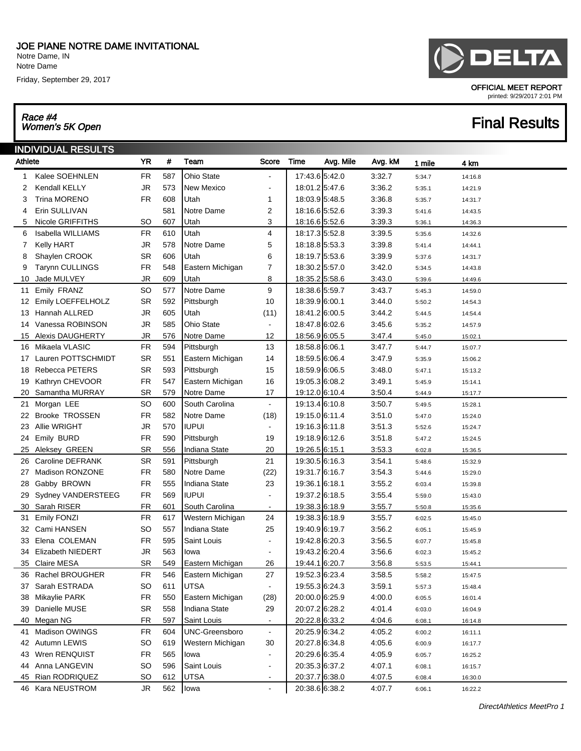Notre Dame, IN Notre Dame

Friday, September 29, 2017

## Race #4<br>Women's 5K Open

# DELTA

OFFICIAL MEET REPORT printed: 9/29/2017 2:01 PM

|              | <b>INDIVIDUAL RESULTS</b> |           |     |                       |                          |                |           |         |        |         |
|--------------|---------------------------|-----------|-----|-----------------------|--------------------------|----------------|-----------|---------|--------|---------|
| Athlete      |                           | <b>YR</b> | #   | Team                  | Score                    | Time           | Avg. Mile | Avg. kM | 1 mile | 4 km    |
| $\mathbf{1}$ | Kalee SOEHNLEN            | <b>FR</b> | 587 | Ohio State            |                          | 17:43.6 5:42.0 |           | 3:32.7  | 5:34.7 | 14:16.8 |
| 2            | Kendall KELLY             | JR        | 573 | New Mexico            | $\blacksquare$           | 18:01.2 5:47.6 |           | 3:36.2  | 5:35.1 | 14:21.9 |
| 3            | <b>Trina MORENO</b>       | <b>FR</b> | 608 | Utah                  | 1                        | 18:03.95:48.5  |           | 3:36.8  | 5:35.7 | 14:31.7 |
| 4            | Erin SULLIVAN             |           | 581 | Notre Dame            | 2                        | 18:16.6 5:52.6 |           | 3:39.3  | 5:41.6 | 14:43.5 |
| 5            | Nicole GRIFFITHS          | SO        | 607 | Utah                  | 3                        | 18:16.6 5:52.6 |           | 3:39.3  | 5:36.1 | 14:36.3 |
| 6            | Isabella WILLIAMS         | <b>FR</b> | 610 | Utah                  | 4                        | 18:17.3 5:52.8 |           | 3:39.5  | 5:35.6 | 14:32.6 |
| 7            | <b>Kelly HART</b>         | JR        | 578 | Notre Dame            | 5                        | 18:18.8 5:53.3 |           | 3:39.8  | 5:41.4 | 14:44.1 |
| 8            | Shaylen CROOK             | <b>SR</b> | 606 | Utah                  | 6                        | 18:19.7 5:53.6 |           | 3:39.9  | 5:37.6 | 14:31.7 |
| 9            | <b>Tarynn CULLINGS</b>    | <b>FR</b> | 548 | Eastern Michigan      | 7                        | 18:30.2 5:57.0 |           | 3:42.0  | 5:34.5 | 14:43.8 |
| 10           | Jade MULVEY               | <b>JR</b> | 609 | Utah                  | 8                        | 18:35.2 5:58.6 |           | 3:43.0  | 5:39.6 | 14:49.6 |
| 11           | Emily FRANZ               | SO        | 577 | Notre Dame            | 9                        | 18:38.6 5:59.7 |           | 3:43.7  | 5:45.3 | 14:59.0 |
| 12           | Emily LOEFFELHOLZ         | <b>SR</b> | 592 | Pittsburgh            | 10                       | 18:39.9 6:00.1 |           | 3:44.0  | 5:50.2 | 14:54.3 |
| 13           | Hannah ALLRED             | <b>JR</b> | 605 | Utah                  | (11)                     | 18:41.2 6:00.5 |           | 3:44.2  | 5:44.5 | 14:54.4 |
| 14           | Vanessa ROBINSON          | <b>JR</b> | 585 | Ohio State            | $\overline{\phantom{a}}$ | 18:47.8 6:02.6 |           | 3:45.6  | 5:35.2 | 14:57.9 |
| 15           | Alexis DAUGHERTY          | <b>JR</b> | 576 | Notre Dame            | 12                       | 18:56.9 6:05.5 |           | 3:47.4  | 5:45.0 | 15:02.1 |
| 16           | Mikaela VLASIC            | <b>FR</b> | 594 | Pittsburgh            | 13                       | 18:58.8 6:06.1 |           | 3:47.7  | 5:44.7 | 15:07.7 |
| 17           | Lauren POTTSCHMIDT        | <b>SR</b> | 551 | Eastern Michigan      | 14                       | 18:59.5 6:06.4 |           | 3:47.9  | 5:35.9 | 15:06.2 |
| 18           | Rebecca PETERS            | <b>SR</b> | 593 | Pittsburgh            | 15                       | 18:59.9 6:06.5 |           | 3:48.0  | 5:47.1 | 15:13.2 |
| 19           | Kathryn CHEVOOR           | <b>FR</b> | 547 | Eastern Michigan      | 16                       | 19:05.3 6:08.2 |           | 3:49.1  | 5:45.9 | 15:14.1 |
| 20           | Samantha MURRAY           | <b>SR</b> | 579 | Notre Dame            | 17                       | 19:12.0 6:10.4 |           | 3:50.4  | 5:44.9 | 15:17.7 |
| 21           | Morgan LEE                | SO        | 600 | South Carolina        | $\overline{\phantom{a}}$ | 19:13.4 6:10.8 |           | 3:50.7  | 5:49.5 | 15:28.1 |
| 22           | <b>Brooke TROSSEN</b>     | <b>FR</b> | 582 | Notre Dame            | (18)                     | 19:15.0 6:11.4 |           | 3:51.0  | 5:47.0 | 15:24.0 |
| 23           | Allie WRIGHT              | <b>JR</b> | 570 | <b>IUPUI</b>          |                          | 19:16.3 6:11.8 |           | 3:51.3  | 5:52.6 | 15:24.7 |
| 24           | Emily BURD                | <b>FR</b> | 590 | Pittsburgh            | 19                       | 19:18.9 6:12.6 |           | 3:51.8  | 5:47.2 | 15:24.5 |
| 25           | Aleksey GREEN             | <b>SR</b> | 556 | Indiana State         | 20                       | 19:26.5 6:15.1 |           | 3:53.3  | 6:02.8 | 15:36.5 |
| 26           | Caroline DEFRANK          | <b>SR</b> | 591 | Pittsburgh            | 21                       | 19:30.5 6:16.3 |           | 3:54.1  | 5:48.6 | 15:32.9 |
| 27           | Madison RONZONE           | <b>FR</b> | 580 | Notre Dame            | (22)                     | 19:31.7 6:16.7 |           | 3:54.3  | 5:44.6 | 15:29.0 |
| 28           | Gabby BROWN               | <b>FR</b> | 555 | Indiana State         | 23                       | 19:36.1 6:18.1 |           | 3:55.2  | 6:03.4 | 15:39.8 |
| 29           | Sydney VANDERSTEEG        | <b>FR</b> | 569 | <b>IUPUI</b>          | $\blacksquare$           | 19:37.2 6:18.5 |           | 3:55.4  | 5:59.0 | 15:43.0 |
| 30           | Sarah RISER               | <b>FR</b> | 601 | South Carolina        | $\blacksquare$           | 19:38.3 6:18.9 |           | 3:55.7  | 5:50.8 | 15:35.6 |
| 31           | <b>Emily FONZI</b>        | <b>FR</b> | 617 | Western Michigan      | 24                       | 19:38.3 6:18.9 |           | 3:55.7  | 6:02.5 | 15:45.0 |
| 32           | Cami HANSEN               | <b>SO</b> | 557 | Indiana State         | 25                       | 19:40.9 6:19.7 |           | 3:56.2  | 6:05.1 | 15:45.9 |
| 33           | Elena COLEMAN             | <b>FR</b> | 595 | Saint Louis           | $\blacksquare$           | 19:42.8 6:20.3 |           | 3:56.5  | 6:07.7 | 15:45.8 |
| 34           | <b>Elizabeth NIEDERT</b>  | JR        | 563 | lowa                  | $\blacksquare$           | 19:43.2 6:20.4 |           | 3:56.6  | 6:02.3 | 15:45.2 |
|              | 35 Claire MESA            | <b>SR</b> | 549 | Eastern Michigan      | 26                       | 19:44.1 6:20.7 |           | 3:56.8  | 5:53.5 | 15:44.1 |
| 36           | Rachel BROUGHER           | FR        | 546 | Eastern Michigan      | 27                       | 19:52.3 6:23.4 |           | 3:58.5  | 5:58.2 | 15:47.5 |
| 37           | Sarah ESTRADA             | <b>SO</b> | 611 | <b>UTSA</b>           | $\blacksquare$           | 19:55.3 6:24.3 |           | 3:59.1  | 5:57.3 | 15:48.4 |
| 38           | Mikaylie PARK             | <b>FR</b> | 550 | Eastern Michigan      | (28)                     | 20:00.0 6:25.9 |           | 4:00.0  | 6:05.5 | 16:01.4 |
| 39           | Danielle MUSE             | <b>SR</b> | 558 | Indiana State         | 29                       | 20:07.2 6:28.2 |           | 4:01.4  | 6:03.0 | 16:04.9 |
| 40           | Megan NG                  | <b>FR</b> | 597 | Saint Louis           | $\blacksquare$           | 20:22.8 6:33.2 |           | 4:04.6  | 6:08.1 | 16:14.8 |
| 41           | Madison OWINGS            | <b>FR</b> | 604 | <b>UNC-Greensboro</b> | $\blacksquare$           | 20:25.9 6:34.2 |           | 4:05.2  | 6:00.2 | 16:11.1 |
| 42           | Autumn LEWIS              | SO        | 619 | Western Michigan      | 30                       | 20:27.8 6:34.8 |           | 4:05.6  | 6:00.9 | 16:17.7 |
| 43           | Wren RENQUIST             | <b>FR</b> | 565 | lowa                  | $\blacksquare$           | 20:29.6 6:35.4 |           | 4:05.9  | 6:05.7 | 16:25.2 |
| 44           | Anna LANGEVIN             | <b>SO</b> | 596 | Saint Louis           | $\blacksquare$           | 20:35.3 6:37.2 |           | 4:07.1  | 6:08.1 | 16:15.7 |
| 45           | Rian RODRIQUEZ            | SO        | 612 | <b>UTSA</b>           | $\blacksquare$           | 20:37.7 6:38.0 |           | 4:07.5  | 6:08.4 | 16:30.0 |
|              | 46 Kara NEUSTROM          | <b>JR</b> | 562 | lowa                  | $\blacksquare$           | 20:38.6 6:38.2 |           | 4:07.7  | 6:06.1 | 16:22.2 |